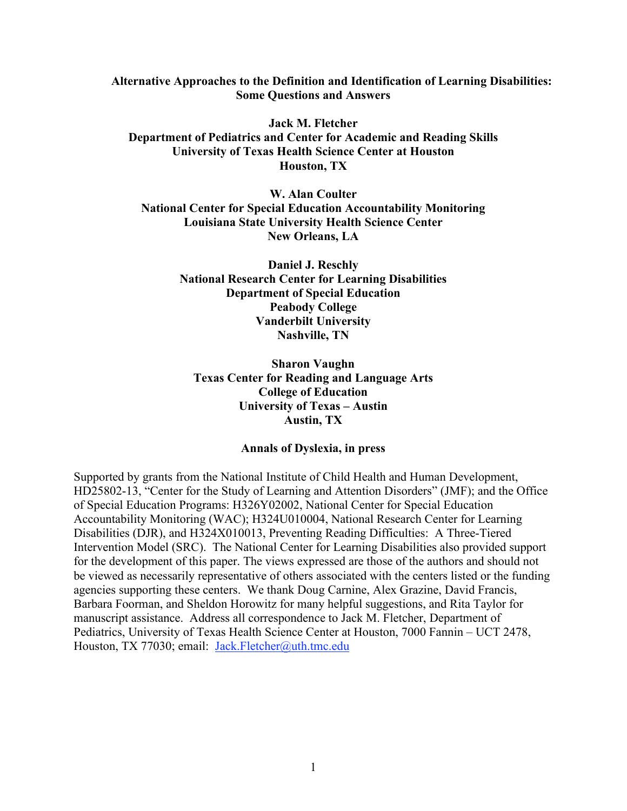**Alternative Approaches to the Definition and Identification of Learning Disabilities: Some Questions and Answers**

**Jack M. Fletcher Department of Pediatrics and Center for Academic and Reading Skills University of Texas Health Science Center at Houston Houston, TX**

**W. Alan Coulter National Center for Special Education Accountability Monitoring Louisiana State University Health Science Center New Orleans, LA**

> **Daniel J. Reschly National Research Center for Learning Disabilities Department of Special Education Peabody College Vanderbilt University Nashville, TN**

**Sharon Vaughn Texas Center for Reading and Language Arts College of Education University of Texas – Austin Austin, TX**

# **Annals of Dyslexia, in press**

Supported by grants from the National Institute of Child Health and Human Development, HD25802-13, "Center for the Study of Learning and Attention Disorders" (JMF); and the Office of Special Education Programs: H326Y02002, National Center for Special Education Accountability Monitoring (WAC); H324U010004, National Research Center for Learning Disabilities (DJR), and H324X010013, Preventing Reading Difficulties: A Three-Tiered Intervention Model (SRC). The National Center for Learning Disabilities also provided support for the development of this paper. The views expressed are those of the authors and should not be viewed as necessarily representative of others associated with the centers listed or the funding agencies supporting these centers. We thank Doug Carnine, Alex Grazine, David Francis, Barbara Foorman, and Sheldon Horowitz for many helpful suggestions, and Rita Taylor for manuscript assistance. Address all correspondence to Jack M. Fletcher, Department of Pediatrics, University of Texas Health Science Center at Houston, 7000 Fannin – UCT 2478, Houston, TX 77030; email: Jack.Fletcher@uth.tmc.edu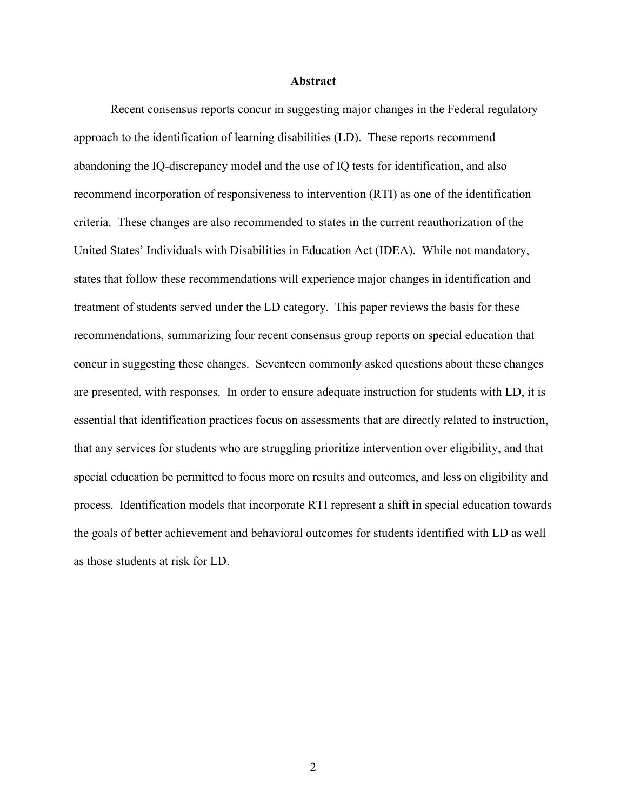#### **Abstract**

Recent consensus reports concur in suggesting major changes in the Federal regulatory approach to the identification of learning disabilities (LD). These reports recommend abandoning the IQ-discrepancy model and the use of IQ tests for identification, and also recommend incorporation of responsiveness to intervention (RTI) as one of the identification criteria. These changes are also recommended to states in the current reauthorization of the United States' Individuals with Disabilities in Education Act (IDEA). While not mandatory, states that follow these recommendations will experience major changes in identification and treatment of students served under the LD category. This paper reviews the basis for these recommendations, summarizing four recent consensus group reports on special education that concur in suggesting these changes. Seventeen commonly asked questions about these changes are presented, with responses. In order to ensure adequate instruction for students with LD, it is essential that identification practices focus on assessments that are directly related to instruction, that any services for students who are struggling prioritize intervention over eligibility, and that special education be permitted to focus more on results and outcomes, and less on eligibility and process. Identification models that incorporate RTI represent a shift in special education towards the goals of better achievement and behavioral outcomes for students identified with LD as well as those students at risk for LD.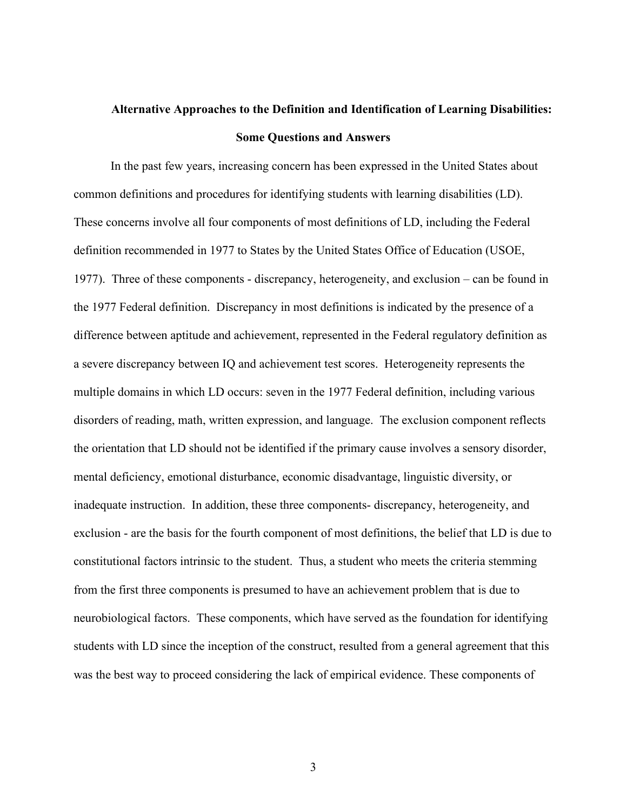# **Alternative Approaches to the Definition and Identification of Learning Disabilities: Some Questions and Answers**

In the past few years, increasing concern has been expressed in the United States about common definitions and procedures for identifying students with learning disabilities (LD). These concerns involve all four components of most definitions of LD, including the Federal definition recommended in 1977 to States by the United States Office of Education (USOE, 1977). Three of these components - discrepancy, heterogeneity, and exclusion – can be found in the 1977 Federal definition. Discrepancy in most definitions is indicated by the presence of a difference between aptitude and achievement, represented in the Federal regulatory definition as a severe discrepancy between IQ and achievement test scores. Heterogeneity represents the multiple domains in which LD occurs: seven in the 1977 Federal definition, including various disorders of reading, math, written expression, and language. The exclusion component reflects the orientation that LD should not be identified if the primary cause involves a sensory disorder, mental deficiency, emotional disturbance, economic disadvantage, linguistic diversity, or inadequate instruction. In addition, these three components- discrepancy, heterogeneity, and exclusion - are the basis for the fourth component of most definitions, the belief that LD is due to constitutional factors intrinsic to the student. Thus, a student who meets the criteria stemming from the first three components is presumed to have an achievement problem that is due to neurobiological factors. These components, which have served as the foundation for identifying students with LD since the inception of the construct, resulted from a general agreement that this was the best way to proceed considering the lack of empirical evidence. These components of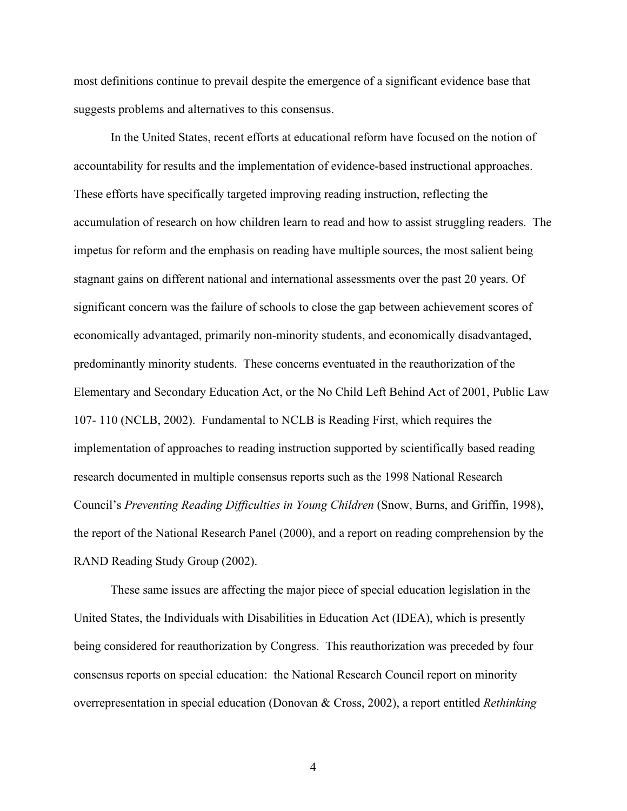most definitions continue to prevail despite the emergence of a significant evidence base that suggests problems and alternatives to this consensus.

In the United States, recent efforts at educational reform have focused on the notion of accountability for results and the implementation of evidence-based instructional approaches. These efforts have specifically targeted improving reading instruction, reflecting the accumulation of research on how children learn to read and how to assist struggling readers. The impetus for reform and the emphasis on reading have multiple sources, the most salient being stagnant gains on different national and international assessments over the past 20 years. Of significant concern was the failure of schools to close the gap between achievement scores of economically advantaged, primarily non-minority students, and economically disadvantaged, predominantly minority students. These concerns eventuated in the reauthorization of the Elementary and Secondary Education Act, or the No Child Left Behind Act of 2001, Public Law 107- 110 (NCLB, 2002). Fundamental to NCLB is Reading First, which requires the implementation of approaches to reading instruction supported by scientifically based reading research documented in multiple consensus reports such as the 1998 National Research Council's *Preventing Reading Difficulties in Young Children* (Snow, Burns, and Griffin, 1998), the report of the National Research Panel (2000), and a report on reading comprehension by the RAND Reading Study Group (2002).

These same issues are affecting the major piece of special education legislation in the United States, the Individuals with Disabilities in Education Act (IDEA), which is presently being considered for reauthorization by Congress. This reauthorization was preceded by four consensus reports on special education: the National Research Council report on minority overrepresentation in special education (Donovan & Cross, 2002), a report entitled *Rethinking*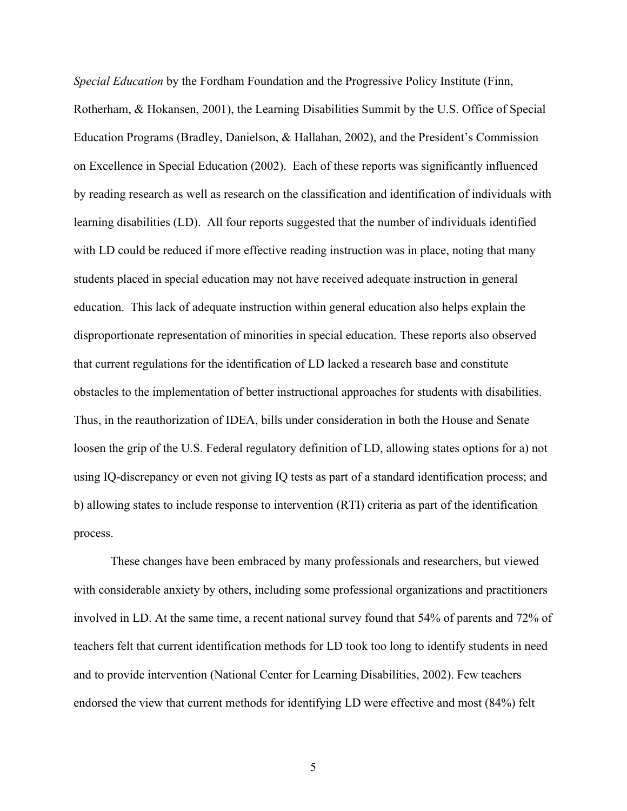*Special Education* by the Fordham Foundation and the Progressive Policy Institute (Finn, Rotherham, & Hokansen, 2001), the Learning Disabilities Summit by the U.S. Office of Special Education Programs (Bradley, Danielson, & Hallahan, 2002), and the President's Commission on Excellence in Special Education (2002). Each of these reports was significantly influenced by reading research as well as research on the classification and identification of individuals with learning disabilities (LD). All four reports suggested that the number of individuals identified with LD could be reduced if more effective reading instruction was in place, noting that many students placed in special education may not have received adequate instruction in general education. This lack of adequate instruction within general education also helps explain the disproportionate representation of minorities in special education. These reports also observed that current regulations for the identification of LD lacked a research base and constitute obstacles to the implementation of better instructional approaches for students with disabilities. Thus, in the reauthorization of IDEA, bills under consideration in both the House and Senate loosen the grip of the U.S. Federal regulatory definition of LD, allowing states options for a) not using IQ-discrepancy or even not giving IQ tests as part of a standard identification process; and b) allowing states to include response to intervention (RTI) criteria as part of the identification process.

These changes have been embraced by many professionals and researchers, but viewed with considerable anxiety by others, including some professional organizations and practitioners involved in LD. At the same time, a recent national survey found that 54% of parents and 72% of teachers felt that current identification methods for LD took too long to identify students in need and to provide intervention (National Center for Learning Disabilities, 2002). Few teachers endorsed the view that current methods for identifying LD were effective and most (84%) felt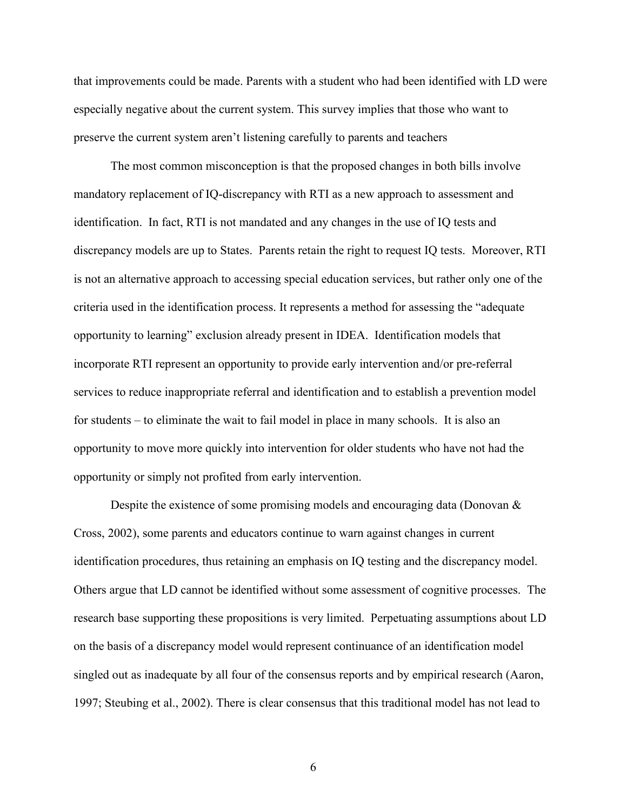that improvements could be made. Parents with a student who had been identified with LD were especially negative about the current system. This survey implies that those who want to preserve the current system aren't listening carefully to parents and teachers

The most common misconception is that the proposed changes in both bills involve mandatory replacement of IQ-discrepancy with RTI as a new approach to assessment and identification. In fact, RTI is not mandated and any changes in the use of IQ tests and discrepancy models are up to States. Parents retain the right to request IQ tests. Moreover, RTI is not an alternative approach to accessing special education services, but rather only one of the criteria used in the identification process. It represents a method for assessing the "adequate opportunity to learning" exclusion already present in IDEA. Identification models that incorporate RTI represent an opportunity to provide early intervention and/or pre-referral services to reduce inappropriate referral and identification and to establish a prevention model for students – to eliminate the wait to fail model in place in many schools. It is also an opportunity to move more quickly into intervention for older students who have not had the opportunity or simply not profited from early intervention.

Despite the existence of some promising models and encouraging data (Donovan  $\&$ Cross, 2002), some parents and educators continue to warn against changes in current identification procedures, thus retaining an emphasis on IQ testing and the discrepancy model. Others argue that LD cannot be identified without some assessment of cognitive processes. The research base supporting these propositions is very limited. Perpetuating assumptions about LD on the basis of a discrepancy model would represent continuance of an identification model singled out as inadequate by all four of the consensus reports and by empirical research (Aaron, 1997; Steubing et al., 2002). There is clear consensus that this traditional model has not lead to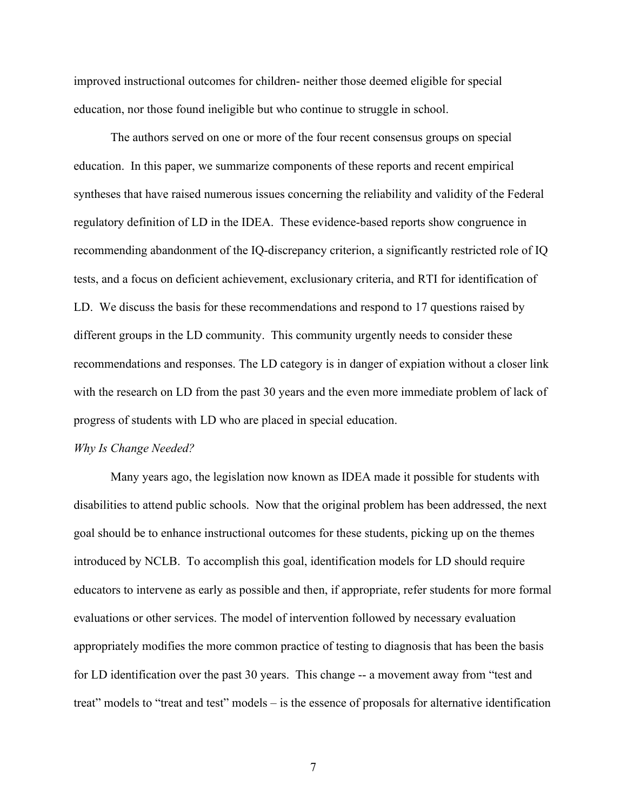improved instructional outcomes for children- neither those deemed eligible for special education, nor those found ineligible but who continue to struggle in school.

The authors served on one or more of the four recent consensus groups on special education. In this paper, we summarize components of these reports and recent empirical syntheses that have raised numerous issues concerning the reliability and validity of the Federal regulatory definition of LD in the IDEA. These evidence-based reports show congruence in recommending abandonment of the IQ-discrepancy criterion, a significantly restricted role of IQ tests, and a focus on deficient achievement, exclusionary criteria, and RTI for identification of LD. We discuss the basis for these recommendations and respond to 17 questions raised by different groups in the LD community. This community urgently needs to consider these recommendations and responses. The LD category is in danger of expiation without a closer link with the research on LD from the past 30 years and the even more immediate problem of lack of progress of students with LD who are placed in special education.

#### *Why Is Change Needed?*

Many years ago, the legislation now known as IDEA made it possible for students with disabilities to attend public schools. Now that the original problem has been addressed, the next goal should be to enhance instructional outcomes for these students, picking up on the themes introduced by NCLB. To accomplish this goal, identification models for LD should require educators to intervene as early as possible and then, if appropriate, refer students for more formal evaluations or other services. The model of intervention followed by necessary evaluation appropriately modifies the more common practice of testing to diagnosis that has been the basis for LD identification over the past 30 years. This change -- a movement away from "test and treat" models to "treat and test" models – is the essence of proposals for alternative identification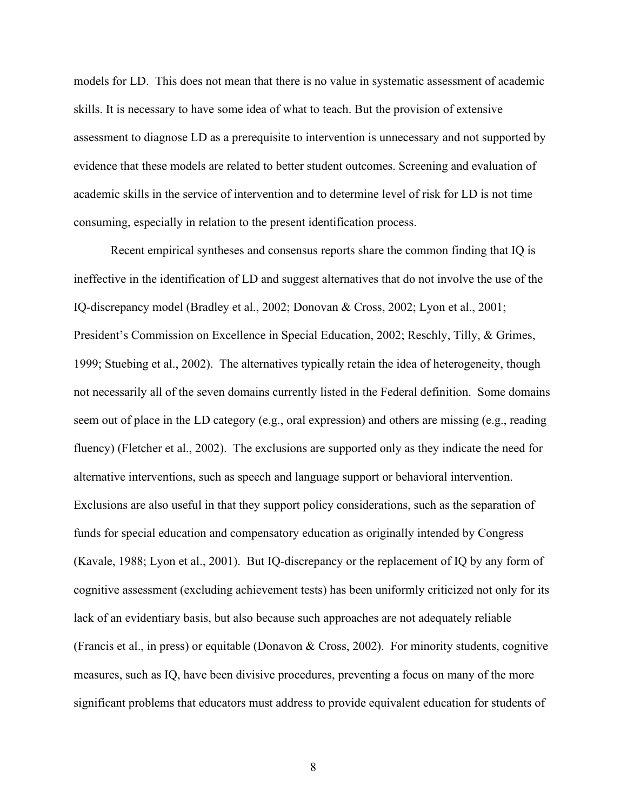models for LD. This does not mean that there is no value in systematic assessment of academic skills. It is necessary to have some idea of what to teach. But the provision of extensive assessment to diagnose LD as a prerequisite to intervention is unnecessary and not supported by evidence that these models are related to better student outcomes. Screening and evaluation of academic skills in the service of intervention and to determine level of risk for LD is not time consuming, especially in relation to the present identification process.

Recent empirical syntheses and consensus reports share the common finding that IQ is ineffective in the identification of LD and suggest alternatives that do not involve the use of the IQ-discrepancy model (Bradley et al., 2002; Donovan & Cross, 2002; Lyon et al., 2001; President's Commission on Excellence in Special Education, 2002; Reschly, Tilly, & Grimes, 1999; Stuebing et al., 2002). The alternatives typically retain the idea of heterogeneity, though not necessarily all of the seven domains currently listed in the Federal definition. Some domains seem out of place in the LD category (e.g., oral expression) and others are missing (e.g., reading fluency) (Fletcher et al., 2002). The exclusions are supported only as they indicate the need for alternative interventions, such as speech and language support or behavioral intervention. Exclusions are also useful in that they support policy considerations, such as the separation of funds for special education and compensatory education as originally intended by Congress (Kavale, 1988; Lyon et al., 2001). But IQ-discrepancy or the replacement of IQ by any form of cognitive assessment (excluding achievement tests) has been uniformly criticized not only for its lack of an evidentiary basis, but also because such approaches are not adequately reliable (Francis et al., in press) or equitable (Donavon & Cross, 2002). For minority students, cognitive measures, such as IQ, have been divisive procedures, preventing a focus on many of the more significant problems that educators must address to provide equivalent education for students of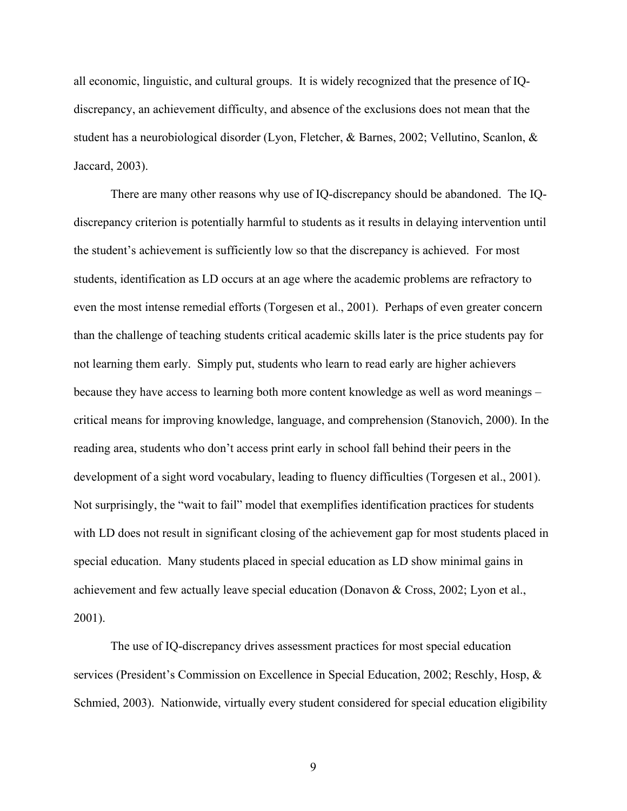all economic, linguistic, and cultural groups. It is widely recognized that the presence of IQdiscrepancy, an achievement difficulty, and absence of the exclusions does not mean that the student has a neurobiological disorder (Lyon, Fletcher, & Barnes, 2002; Vellutino, Scanlon, & Jaccard, 2003).

There are many other reasons why use of IQ-discrepancy should be abandoned. The IQdiscrepancy criterion is potentially harmful to students as it results in delaying intervention until the student's achievement is sufficiently low so that the discrepancy is achieved. For most students, identification as LD occurs at an age where the academic problems are refractory to even the most intense remedial efforts (Torgesen et al., 2001). Perhaps of even greater concern than the challenge of teaching students critical academic skills later is the price students pay for not learning them early. Simply put, students who learn to read early are higher achievers because they have access to learning both more content knowledge as well as word meanings – critical means for improving knowledge, language, and comprehension (Stanovich, 2000). In the reading area, students who don't access print early in school fall behind their peers in the development of a sight word vocabulary, leading to fluency difficulties (Torgesen et al., 2001). Not surprisingly, the "wait to fail" model that exemplifies identification practices for students with LD does not result in significant closing of the achievement gap for most students placed in special education. Many students placed in special education as LD show minimal gains in achievement and few actually leave special education (Donavon & Cross, 2002; Lyon et al., 2001).

The use of IQ-discrepancy drives assessment practices for most special education services (President's Commission on Excellence in Special Education, 2002; Reschly, Hosp, & Schmied, 2003). Nationwide, virtually every student considered for special education eligibility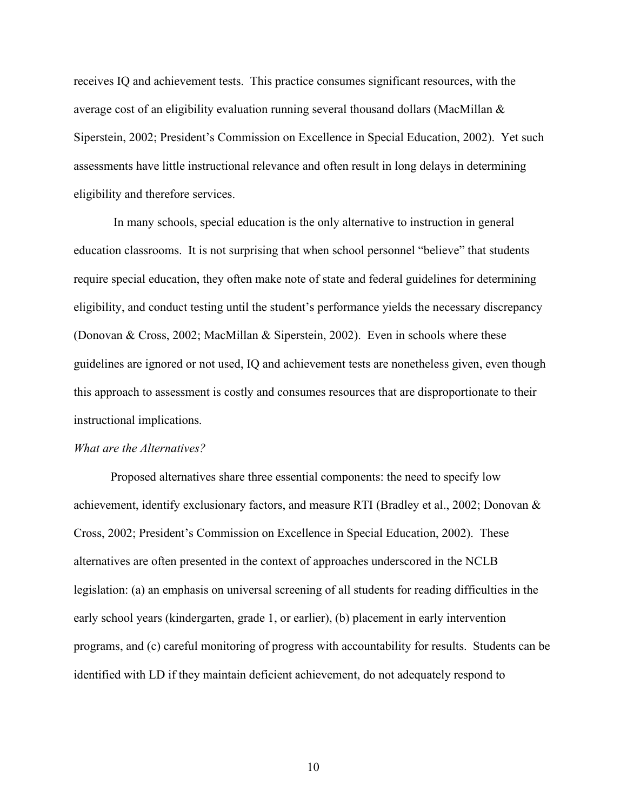receives IQ and achievement tests. This practice consumes significant resources, with the average cost of an eligibility evaluation running several thousand dollars (MacMillan & Siperstein, 2002; President's Commission on Excellence in Special Education, 2002). Yet such assessments have little instructional relevance and often result in long delays in determining eligibility and therefore services.

 In many schools, special education is the only alternative to instruction in general education classrooms. It is not surprising that when school personnel "believe" that students require special education, they often make note of state and federal guidelines for determining eligibility, and conduct testing until the student's performance yields the necessary discrepancy (Donovan & Cross, 2002; MacMillan & Siperstein, 2002). Even in schools where these guidelines are ignored or not used, IQ and achievement tests are nonetheless given, even though this approach to assessment is costly and consumes resources that are disproportionate to their instructional implications.

#### *What are the Alternatives?*

Proposed alternatives share three essential components: the need to specify low achievement, identify exclusionary factors, and measure RTI (Bradley et al., 2002; Donovan & Cross, 2002; President's Commission on Excellence in Special Education, 2002). These alternatives are often presented in the context of approaches underscored in the NCLB legislation: (a) an emphasis on universal screening of all students for reading difficulties in the early school years (kindergarten, grade 1, or earlier), (b) placement in early intervention programs, and (c) careful monitoring of progress with accountability for results. Students can be identified with LD if they maintain deficient achievement, do not adequately respond to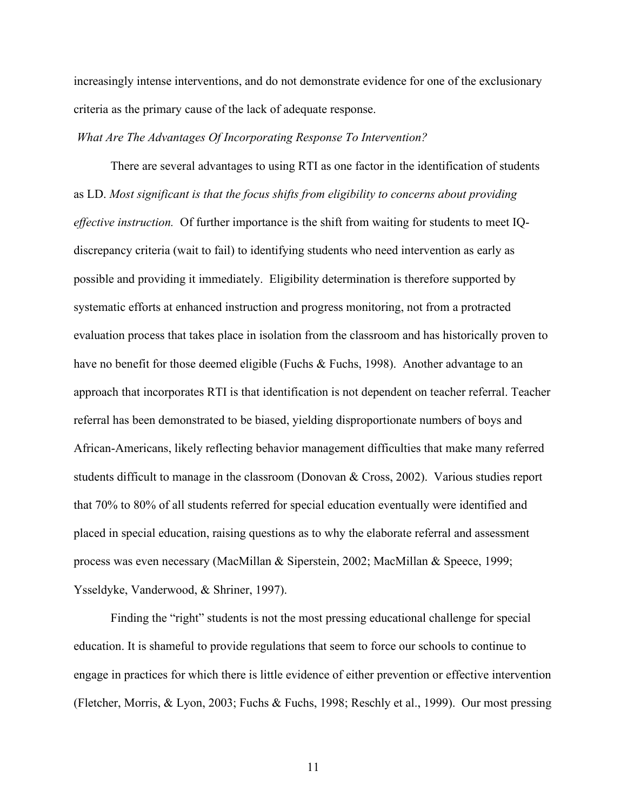increasingly intense interventions, and do not demonstrate evidence for one of the exclusionary criteria as the primary cause of the lack of adequate response.

### *What Are The Advantages Of Incorporating Response To Intervention?*

There are several advantages to using RTI as one factor in the identification of students as LD. *Most significant is that the focus shifts from eligibility to concerns about providing effective instruction.* Of further importance is the shift from waiting for students to meet IQdiscrepancy criteria (wait to fail) to identifying students who need intervention as early as possible and providing it immediately. Eligibility determination is therefore supported by systematic efforts at enhanced instruction and progress monitoring, not from a protracted evaluation process that takes place in isolation from the classroom and has historically proven to have no benefit for those deemed eligible (Fuchs & Fuchs, 1998). Another advantage to an approach that incorporates RTI is that identification is not dependent on teacher referral. Teacher referral has been demonstrated to be biased, yielding disproportionate numbers of boys and African-Americans, likely reflecting behavior management difficulties that make many referred students difficult to manage in the classroom (Donovan & Cross, 2002). Various studies report that 70% to 80% of all students referred for special education eventually were identified and placed in special education, raising questions as to why the elaborate referral and assessment process was even necessary (MacMillan & Siperstein, 2002; MacMillan & Speece, 1999; Ysseldyke, Vanderwood, & Shriner, 1997).

Finding the "right" students is not the most pressing educational challenge for special education. It is shameful to provide regulations that seem to force our schools to continue to engage in practices for which there is little evidence of either prevention or effective intervention (Fletcher, Morris, & Lyon, 2003; Fuchs & Fuchs, 1998; Reschly et al., 1999). Our most pressing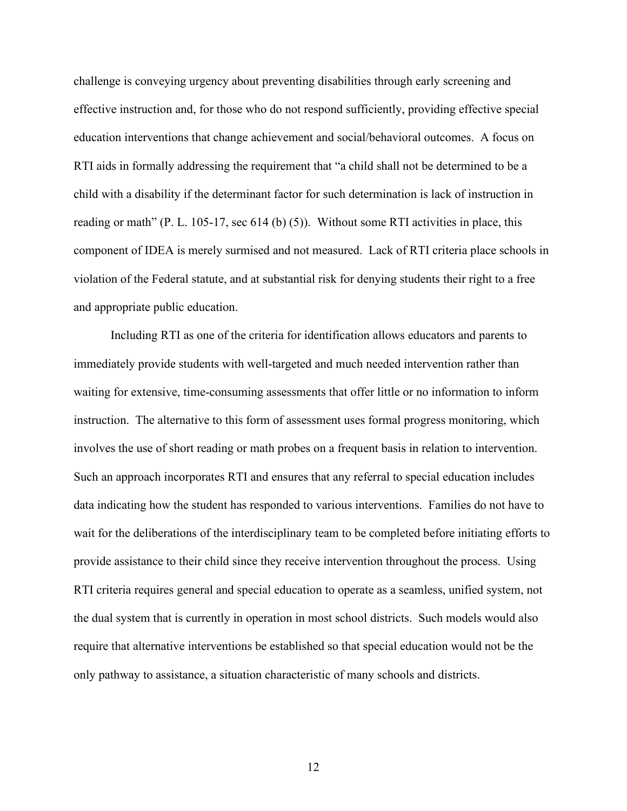challenge is conveying urgency about preventing disabilities through early screening and effective instruction and, for those who do not respond sufficiently, providing effective special education interventions that change achievement and social/behavioral outcomes. A focus on RTI aids in formally addressing the requirement that "a child shall not be determined to be a child with a disability if the determinant factor for such determination is lack of instruction in reading or math" (P. L. 105-17, sec 614 (b) (5)). Without some RTI activities in place, this component of IDEA is merely surmised and not measured. Lack of RTI criteria place schools in violation of the Federal statute, and at substantial risk for denying students their right to a free and appropriate public education.

Including RTI as one of the criteria for identification allows educators and parents to immediately provide students with well-targeted and much needed intervention rather than waiting for extensive, time-consuming assessments that offer little or no information to inform instruction. The alternative to this form of assessment uses formal progress monitoring, which involves the use of short reading or math probes on a frequent basis in relation to intervention. Such an approach incorporates RTI and ensures that any referral to special education includes data indicating how the student has responded to various interventions. Families do not have to wait for the deliberations of the interdisciplinary team to be completed before initiating efforts to provide assistance to their child since they receive intervention throughout the process. Using RTI criteria requires general and special education to operate as a seamless, unified system, not the dual system that is currently in operation in most school districts. Such models would also require that alternative interventions be established so that special education would not be the only pathway to assistance, a situation characteristic of many schools and districts.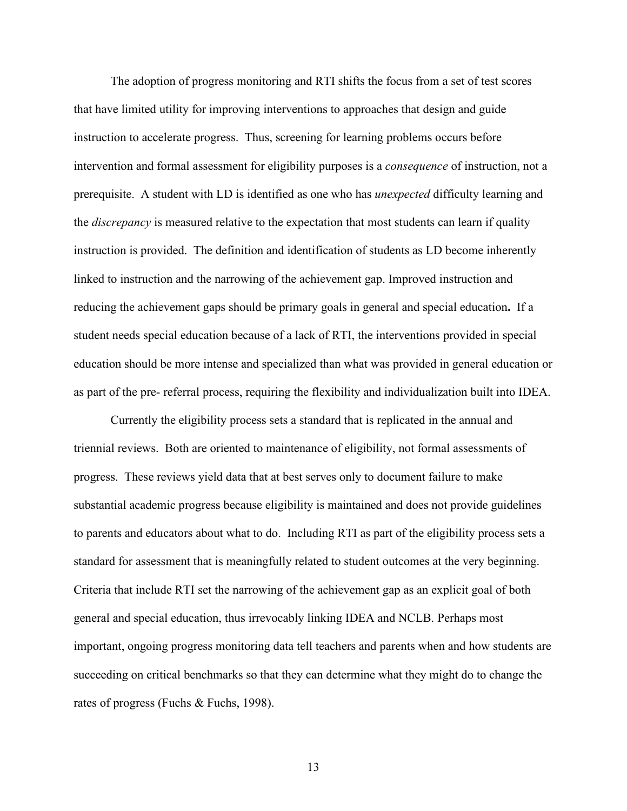The adoption of progress monitoring and RTI shifts the focus from a set of test scores that have limited utility for improving interventions to approaches that design and guide instruction to accelerate progress. Thus, screening for learning problems occurs before intervention and formal assessment for eligibility purposes is a *consequence* of instruction, not a prerequisite. A student with LD is identified as one who has *unexpected* difficulty learning and the *discrepancy* is measured relative to the expectation that most students can learn if quality instruction is provided. The definition and identification of students as LD become inherently linked to instruction and the narrowing of the achievement gap. Improved instruction and reducing the achievement gaps should be primary goals in general and special education**.** If a student needs special education because of a lack of RTI, the interventions provided in special education should be more intense and specialized than what was provided in general education or as part of the pre- referral process, requiring the flexibility and individualization built into IDEA.

Currently the eligibility process sets a standard that is replicated in the annual and triennial reviews. Both are oriented to maintenance of eligibility, not formal assessments of progress. These reviews yield data that at best serves only to document failure to make substantial academic progress because eligibility is maintained and does not provide guidelines to parents and educators about what to do. Including RTI as part of the eligibility process sets a standard for assessment that is meaningfully related to student outcomes at the very beginning. Criteria that include RTI set the narrowing of the achievement gap as an explicit goal of both general and special education, thus irrevocably linking IDEA and NCLB. Perhaps most important, ongoing progress monitoring data tell teachers and parents when and how students are succeeding on critical benchmarks so that they can determine what they might do to change the rates of progress (Fuchs & Fuchs, 1998).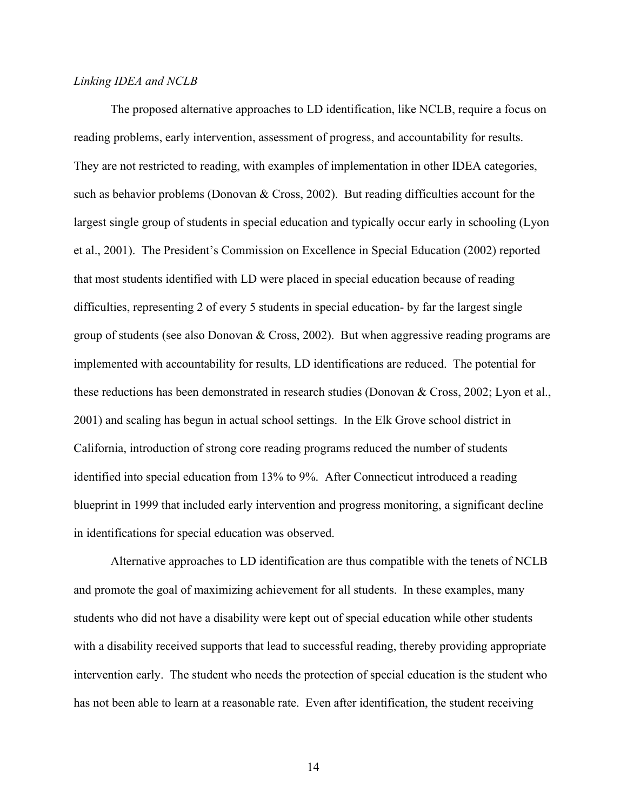## *Linking IDEA and NCLB*

The proposed alternative approaches to LD identification, like NCLB, require a focus on reading problems, early intervention, assessment of progress, and accountability for results. They are not restricted to reading, with examples of implementation in other IDEA categories, such as behavior problems (Donovan & Cross, 2002). But reading difficulties account for the largest single group of students in special education and typically occur early in schooling (Lyon et al., 2001). The President's Commission on Excellence in Special Education (2002) reported that most students identified with LD were placed in special education because of reading difficulties, representing 2 of every 5 students in special education- by far the largest single group of students (see also Donovan & Cross, 2002). But when aggressive reading programs are implemented with accountability for results, LD identifications are reduced. The potential for these reductions has been demonstrated in research studies (Donovan & Cross, 2002; Lyon et al., 2001) and scaling has begun in actual school settings. In the Elk Grove school district in California, introduction of strong core reading programs reduced the number of students identified into special education from 13% to 9%. After Connecticut introduced a reading blueprint in 1999 that included early intervention and progress monitoring, a significant decline in identifications for special education was observed.

Alternative approaches to LD identification are thus compatible with the tenets of NCLB and promote the goal of maximizing achievement for all students. In these examples, many students who did not have a disability were kept out of special education while other students with a disability received supports that lead to successful reading, thereby providing appropriate intervention early. The student who needs the protection of special education is the student who has not been able to learn at a reasonable rate. Even after identification, the student receiving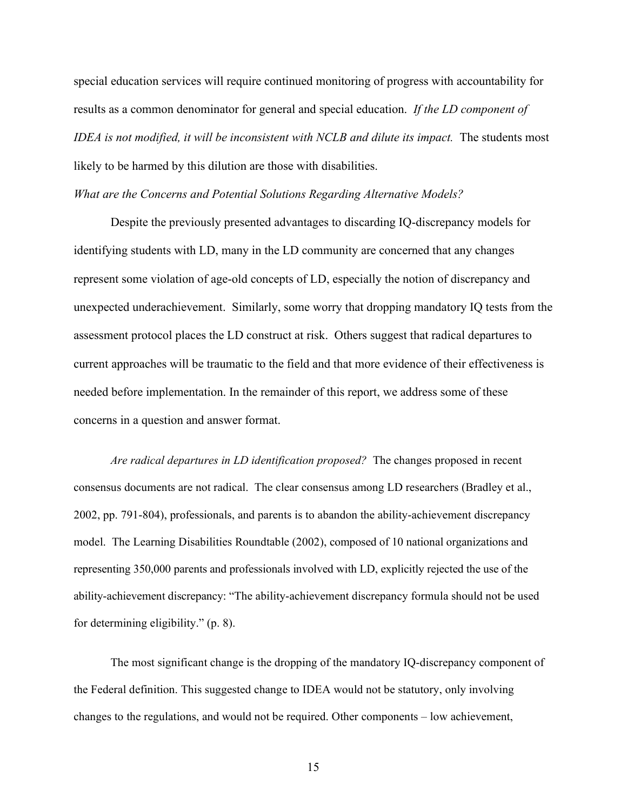special education services will require continued monitoring of progress with accountability for results as a common denominator for general and special education. *If the LD component of IDEA is not modified, it will be inconsistent with NCLB and dilute its impact.* The students most likely to be harmed by this dilution are those with disabilities.

*What are the Concerns and Potential Solutions Regarding Alternative Models?*

Despite the previously presented advantages to discarding IQ-discrepancy models for identifying students with LD, many in the LD community are concerned that any changes represent some violation of age-old concepts of LD, especially the notion of discrepancy and unexpected underachievement. Similarly, some worry that dropping mandatory IQ tests from the assessment protocol places the LD construct at risk. Others suggest that radical departures to current approaches will be traumatic to the field and that more evidence of their effectiveness is needed before implementation. In the remainder of this report, we address some of these concerns in a question and answer format.

*Are radical departures in LD identification proposed?* The changes proposed in recent consensus documents are not radical. The clear consensus among LD researchers (Bradley et al., 2002, pp. 791-804), professionals, and parents is to abandon the ability-achievement discrepancy model. The Learning Disabilities Roundtable (2002), composed of 10 national organizations and representing 350,000 parents and professionals involved with LD, explicitly rejected the use of the ability-achievement discrepancy: "The ability-achievement discrepancy formula should not be used for determining eligibility." (p. 8).

The most significant change is the dropping of the mandatory IQ-discrepancy component of the Federal definition. This suggested change to IDEA would not be statutory, only involving changes to the regulations, and would not be required. Other components – low achievement,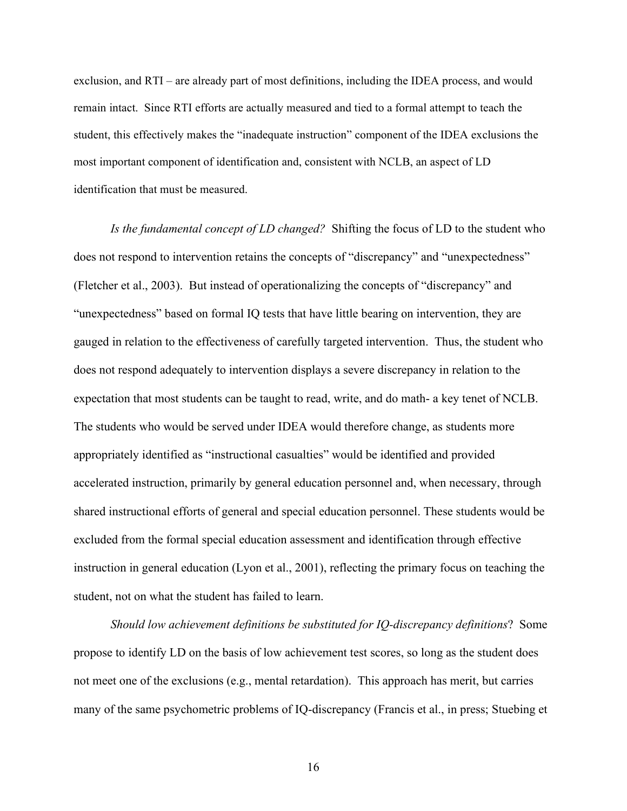exclusion, and RTI – are already part of most definitions, including the IDEA process, and would remain intact. Since RTI efforts are actually measured and tied to a formal attempt to teach the student, this effectively makes the "inadequate instruction" component of the IDEA exclusions the most important component of identification and, consistent with NCLB, an aspect of LD identification that must be measured.

*Is the fundamental concept of LD changed?* Shifting the focus of LD to the student who does not respond to intervention retains the concepts of "discrepancy" and "unexpectedness" (Fletcher et al., 2003). But instead of operationalizing the concepts of "discrepancy" and "unexpectedness" based on formal IQ tests that have little bearing on intervention, they are gauged in relation to the effectiveness of carefully targeted intervention. Thus, the student who does not respond adequately to intervention displays a severe discrepancy in relation to the expectation that most students can be taught to read, write, and do math- a key tenet of NCLB. The students who would be served under IDEA would therefore change, as students more appropriately identified as "instructional casualties" would be identified and provided accelerated instruction, primarily by general education personnel and, when necessary, through shared instructional efforts of general and special education personnel. These students would be excluded from the formal special education assessment and identification through effective instruction in general education (Lyon et al., 2001), reflecting the primary focus on teaching the student, not on what the student has failed to learn.

*Should low achievement definitions be substituted for IQ-discrepancy definitions*? Some propose to identify LD on the basis of low achievement test scores, so long as the student does not meet one of the exclusions (e.g., mental retardation). This approach has merit, but carries many of the same psychometric problems of IQ-discrepancy (Francis et al., in press; Stuebing et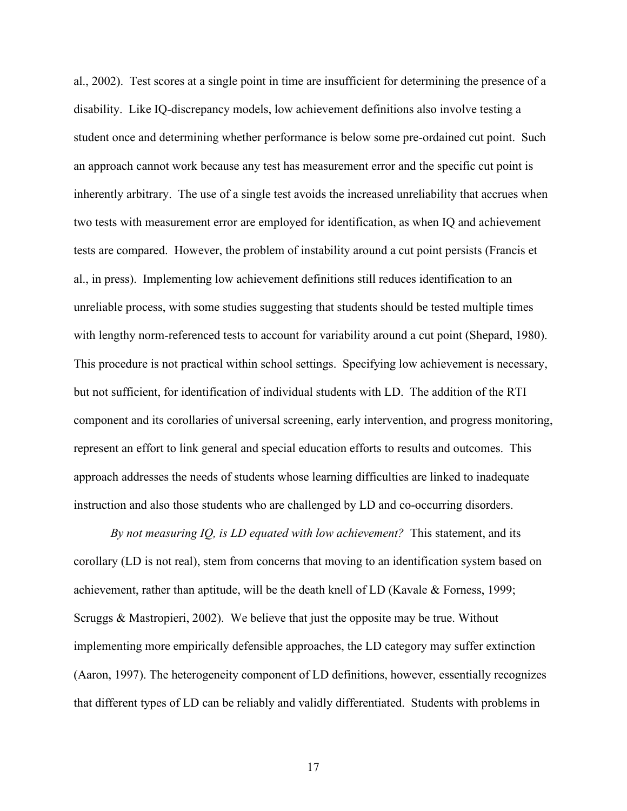al., 2002). Test scores at a single point in time are insufficient for determining the presence of a disability. Like IQ-discrepancy models, low achievement definitions also involve testing a student once and determining whether performance is below some pre-ordained cut point. Such an approach cannot work because any test has measurement error and the specific cut point is inherently arbitrary. The use of a single test avoids the increased unreliability that accrues when two tests with measurement error are employed for identification, as when IQ and achievement tests are compared. However, the problem of instability around a cut point persists (Francis et al., in press). Implementing low achievement definitions still reduces identification to an unreliable process, with some studies suggesting that students should be tested multiple times with lengthy norm-referenced tests to account for variability around a cut point (Shepard, 1980). This procedure is not practical within school settings. Specifying low achievement is necessary, but not sufficient, for identification of individual students with LD. The addition of the RTI component and its corollaries of universal screening, early intervention, and progress monitoring, represent an effort to link general and special education efforts to results and outcomes. This approach addresses the needs of students whose learning difficulties are linked to inadequate instruction and also those students who are challenged by LD and co-occurring disorders.

*By not measuring IQ, is LD equated with low achievement?* This statement, and its corollary (LD is not real), stem from concerns that moving to an identification system based on achievement, rather than aptitude, will be the death knell of LD (Kavale & Forness, 1999; Scruggs & Mastropieri, 2002). We believe that just the opposite may be true. Without implementing more empirically defensible approaches, the LD category may suffer extinction (Aaron, 1997). The heterogeneity component of LD definitions, however, essentially recognizes that different types of LD can be reliably and validly differentiated. Students with problems in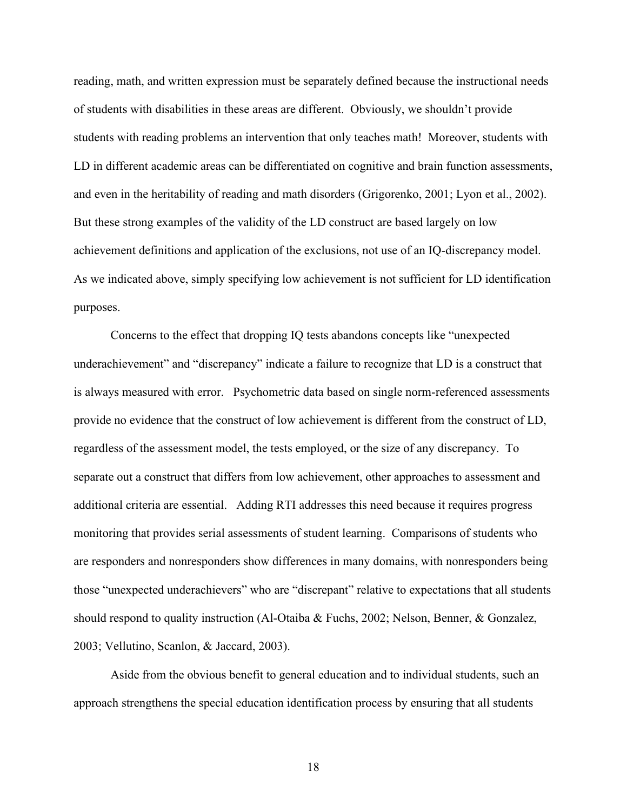reading, math, and written expression must be separately defined because the instructional needs of students with disabilities in these areas are different. Obviously, we shouldn't provide students with reading problems an intervention that only teaches math! Moreover, students with LD in different academic areas can be differentiated on cognitive and brain function assessments, and even in the heritability of reading and math disorders (Grigorenko, 2001; Lyon et al., 2002). But these strong examples of the validity of the LD construct are based largely on low achievement definitions and application of the exclusions, not use of an IQ-discrepancy model. As we indicated above, simply specifying low achievement is not sufficient for LD identification purposes.

Concerns to the effect that dropping IQ tests abandons concepts like "unexpected underachievement" and "discrepancy" indicate a failure to recognize that LD is a construct that is always measured with error. Psychometric data based on single norm-referenced assessments provide no evidence that the construct of low achievement is different from the construct of LD, regardless of the assessment model, the tests employed, or the size of any discrepancy. To separate out a construct that differs from low achievement, other approaches to assessment and additional criteria are essential. Adding RTI addresses this need because it requires progress monitoring that provides serial assessments of student learning. Comparisons of students who are responders and nonresponders show differences in many domains, with nonresponders being those "unexpected underachievers" who are "discrepant" relative to expectations that all students should respond to quality instruction (Al-Otaiba & Fuchs, 2002; Nelson, Benner, & Gonzalez, 2003; Vellutino, Scanlon, & Jaccard, 2003).

Aside from the obvious benefit to general education and to individual students, such an approach strengthens the special education identification process by ensuring that all students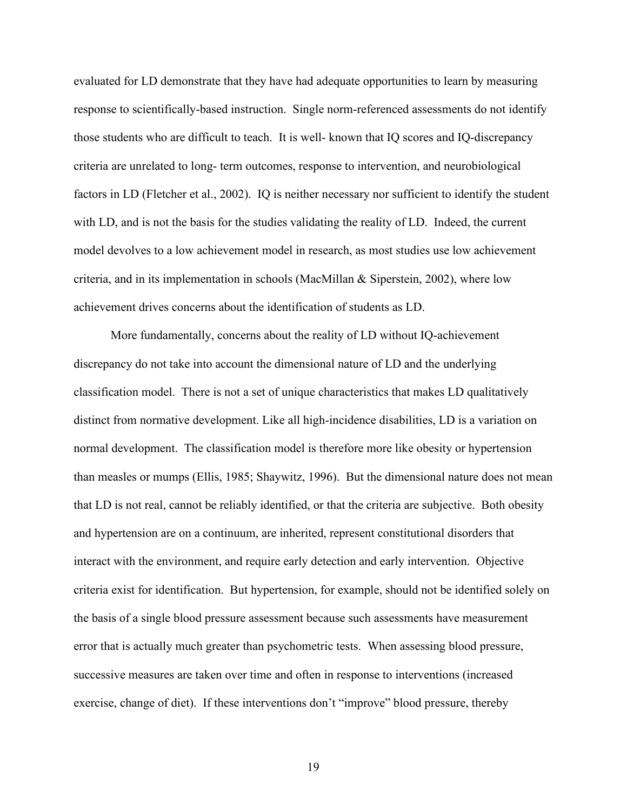evaluated for LD demonstrate that they have had adequate opportunities to learn by measuring response to scientifically-based instruction. Single norm-referenced assessments do not identify those students who are difficult to teach. It is well- known that IQ scores and IQ-discrepancy criteria are unrelated to long- term outcomes, response to intervention, and neurobiological factors in LD (Fletcher et al., 2002). IQ is neither necessary nor sufficient to identify the student with LD, and is not the basis for the studies validating the reality of LD. Indeed, the current model devolves to a low achievement model in research, as most studies use low achievement criteria, and in its implementation in schools (MacMillan & Siperstein, 2002), where low achievement drives concerns about the identification of students as LD.

More fundamentally, concerns about the reality of LD without IQ-achievement discrepancy do not take into account the dimensional nature of LD and the underlying classification model. There is not a set of unique characteristics that makes LD qualitatively distinct from normative development. Like all high-incidence disabilities, LD is a variation on normal development. The classification model is therefore more like obesity or hypertension than measles or mumps (Ellis, 1985; Shaywitz, 1996). But the dimensional nature does not mean that LD is not real, cannot be reliably identified, or that the criteria are subjective. Both obesity and hypertension are on a continuum, are inherited, represent constitutional disorders that interact with the environment, and require early detection and early intervention. Objective criteria exist for identification. But hypertension, for example, should not be identified solely on the basis of a single blood pressure assessment because such assessments have measurement error that is actually much greater than psychometric tests. When assessing blood pressure, successive measures are taken over time and often in response to interventions (increased exercise, change of diet). If these interventions don't "improve" blood pressure, thereby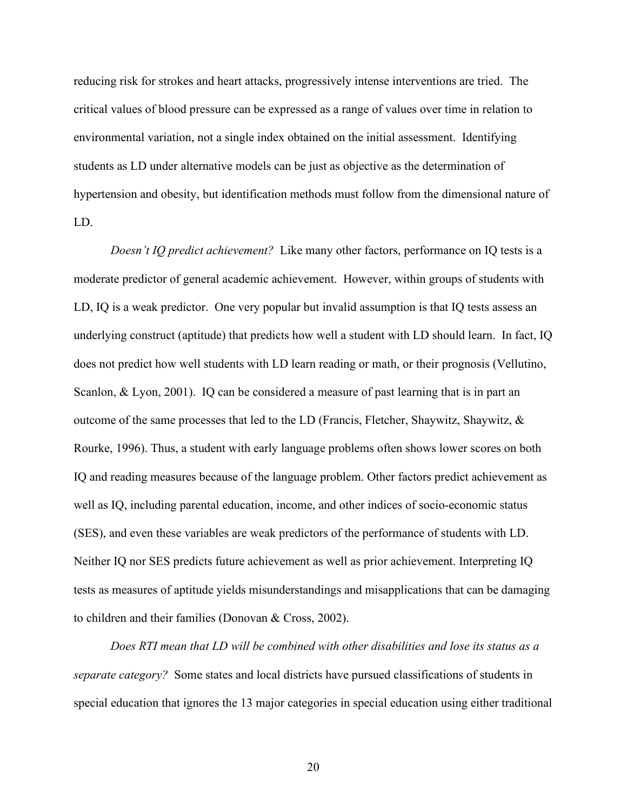reducing risk for strokes and heart attacks, progressively intense interventions are tried. The critical values of blood pressure can be expressed as a range of values over time in relation to environmental variation, not a single index obtained on the initial assessment. Identifying students as LD under alternative models can be just as objective as the determination of hypertension and obesity, but identification methods must follow from the dimensional nature of LD.

*Doesn't IQ predict achievement?* Like many other factors, performance on IQ tests is a moderate predictor of general academic achievement. However, within groups of students with LD, IQ is a weak predictor. One very popular but invalid assumption is that IQ tests assess an underlying construct (aptitude) that predicts how well a student with LD should learn. In fact, IQ does not predict how well students with LD learn reading or math, or their prognosis (Vellutino, Scanlon, & Lyon, 2001). IQ can be considered a measure of past learning that is in part an outcome of the same processes that led to the LD (Francis, Fletcher, Shaywitz, Shaywitz, & Rourke, 1996). Thus, a student with early language problems often shows lower scores on both IQ and reading measures because of the language problem. Other factors predict achievement as well as IQ, including parental education, income, and other indices of socio-economic status (SES), and even these variables are weak predictors of the performance of students with LD. Neither IQ nor SES predicts future achievement as well as prior achievement. Interpreting IQ tests as measures of aptitude yields misunderstandings and misapplications that can be damaging to children and their families (Donovan & Cross, 2002).

*Does RTI mean that LD will be combined with other disabilities and lose its status as a separate category?* Some states and local districts have pursued classifications of students in special education that ignores the 13 major categories in special education using either traditional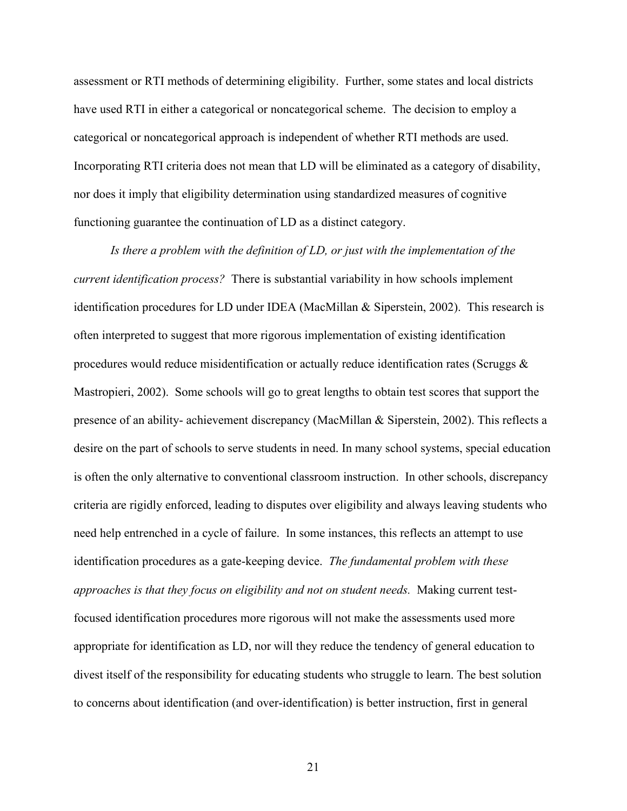assessment or RTI methods of determining eligibility. Further, some states and local districts have used RTI in either a categorical or noncategorical scheme. The decision to employ a categorical or noncategorical approach is independent of whether RTI methods are used. Incorporating RTI criteria does not mean that LD will be eliminated as a category of disability, nor does it imply that eligibility determination using standardized measures of cognitive functioning guarantee the continuation of LD as a distinct category.

*Is there a problem with the definition of LD, or just with the implementation of the current identification process?* There is substantial variability in how schools implement identification procedures for LD under IDEA (MacMillan & Siperstein, 2002). This research is often interpreted to suggest that more rigorous implementation of existing identification procedures would reduce misidentification or actually reduce identification rates (Scruggs  $\&$ Mastropieri, 2002). Some schools will go to great lengths to obtain test scores that support the presence of an ability- achievement discrepancy (MacMillan & Siperstein, 2002). This reflects a desire on the part of schools to serve students in need. In many school systems, special education is often the only alternative to conventional classroom instruction. In other schools, discrepancy criteria are rigidly enforced, leading to disputes over eligibility and always leaving students who need help entrenched in a cycle of failure. In some instances, this reflects an attempt to use identification procedures as a gate-keeping device. *The fundamental problem with these approaches is that they focus on eligibility and not on student needs.* Making current testfocused identification procedures more rigorous will not make the assessments used more appropriate for identification as LD, nor will they reduce the tendency of general education to divest itself of the responsibility for educating students who struggle to learn. The best solution to concerns about identification (and over-identification) is better instruction, first in general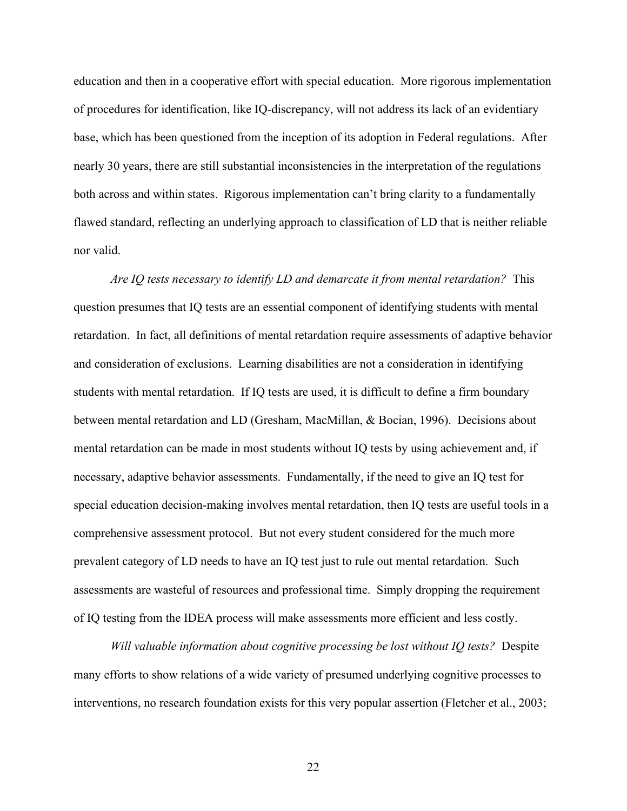education and then in a cooperative effort with special education. More rigorous implementation of procedures for identification, like IQ-discrepancy, will not address its lack of an evidentiary base, which has been questioned from the inception of its adoption in Federal regulations. After nearly 30 years, there are still substantial inconsistencies in the interpretation of the regulations both across and within states. Rigorous implementation can't bring clarity to a fundamentally flawed standard, reflecting an underlying approach to classification of LD that is neither reliable nor valid.

*Are IQ tests necessary to identify LD and demarcate it from mental retardation?* This question presumes that IQ tests are an essential component of identifying students with mental retardation. In fact, all definitions of mental retardation require assessments of adaptive behavior and consideration of exclusions. Learning disabilities are not a consideration in identifying students with mental retardation. If IQ tests are used, it is difficult to define a firm boundary between mental retardation and LD (Gresham, MacMillan, & Bocian, 1996). Decisions about mental retardation can be made in most students without IQ tests by using achievement and, if necessary, adaptive behavior assessments. Fundamentally, if the need to give an IQ test for special education decision-making involves mental retardation, then IQ tests are useful tools in a comprehensive assessment protocol. But not every student considered for the much more prevalent category of LD needs to have an IQ test just to rule out mental retardation. Such assessments are wasteful of resources and professional time. Simply dropping the requirement of IQ testing from the IDEA process will make assessments more efficient and less costly.

*Will valuable information about cognitive processing be lost without IQ tests?* Despite many efforts to show relations of a wide variety of presumed underlying cognitive processes to interventions, no research foundation exists for this very popular assertion (Fletcher et al., 2003;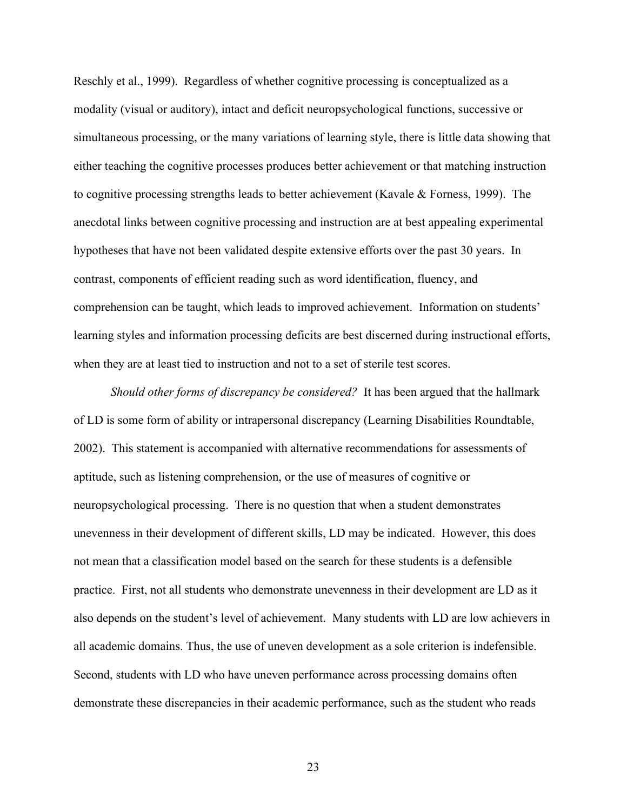Reschly et al., 1999). Regardless of whether cognitive processing is conceptualized as a modality (visual or auditory), intact and deficit neuropsychological functions, successive or simultaneous processing, or the many variations of learning style, there is little data showing that either teaching the cognitive processes produces better achievement or that matching instruction to cognitive processing strengths leads to better achievement (Kavale & Forness, 1999). The anecdotal links between cognitive processing and instruction are at best appealing experimental hypotheses that have not been validated despite extensive efforts over the past 30 years. In contrast, components of efficient reading such as word identification, fluency, and comprehension can be taught, which leads to improved achievement. Information on students' learning styles and information processing deficits are best discerned during instructional efforts, when they are at least tied to instruction and not to a set of sterile test scores.

*Should other forms of discrepancy be considered?* It has been argued that the hallmark of LD is some form of ability or intrapersonal discrepancy (Learning Disabilities Roundtable, 2002). This statement is accompanied with alternative recommendations for assessments of aptitude, such as listening comprehension, or the use of measures of cognitive or neuropsychological processing. There is no question that when a student demonstrates unevenness in their development of different skills, LD may be indicated. However, this does not mean that a classification model based on the search for these students is a defensible practice. First, not all students who demonstrate unevenness in their development are LD as it also depends on the student's level of achievement. Many students with LD are low achievers in all academic domains. Thus, the use of uneven development as a sole criterion is indefensible. Second, students with LD who have uneven performance across processing domains often demonstrate these discrepancies in their academic performance, such as the student who reads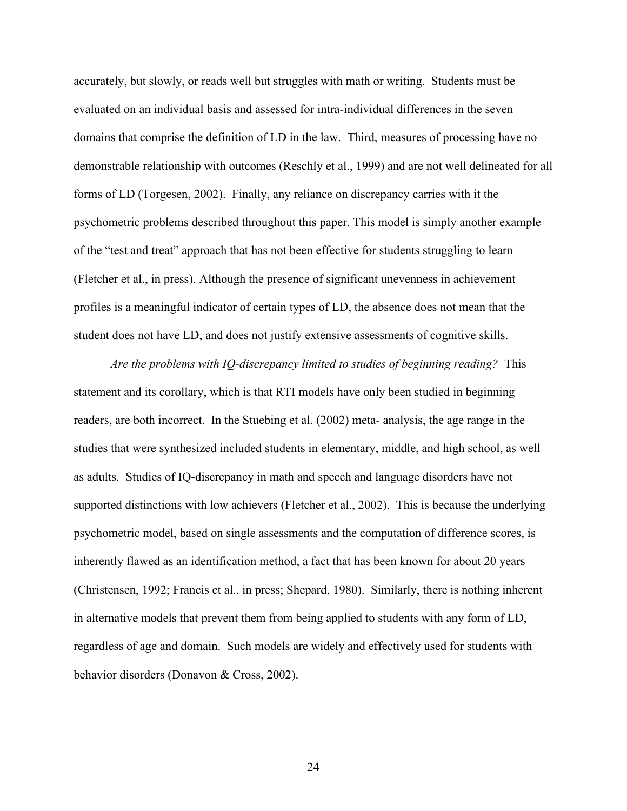accurately, but slowly, or reads well but struggles with math or writing. Students must be evaluated on an individual basis and assessed for intra-individual differences in the seven domains that comprise the definition of LD in the law. Third, measures of processing have no demonstrable relationship with outcomes (Reschly et al., 1999) and are not well delineated for all forms of LD (Torgesen, 2002). Finally, any reliance on discrepancy carries with it the psychometric problems described throughout this paper. This model is simply another example of the "test and treat" approach that has not been effective for students struggling to learn (Fletcher et al., in press). Although the presence of significant unevenness in achievement profiles is a meaningful indicator of certain types of LD, the absence does not mean that the student does not have LD, and does not justify extensive assessments of cognitive skills.

*Are the problems with IQ-discrepancy limited to studies of beginning reading?* This statement and its corollary, which is that RTI models have only been studied in beginning readers, are both incorrect. In the Stuebing et al. (2002) meta- analysis, the age range in the studies that were synthesized included students in elementary, middle, and high school, as well as adults. Studies of IQ-discrepancy in math and speech and language disorders have not supported distinctions with low achievers (Fletcher et al., 2002). This is because the underlying psychometric model, based on single assessments and the computation of difference scores, is inherently flawed as an identification method, a fact that has been known for about 20 years (Christensen, 1992; Francis et al., in press; Shepard, 1980). Similarly, there is nothing inherent in alternative models that prevent them from being applied to students with any form of LD, regardless of age and domain. Such models are widely and effectively used for students with behavior disorders (Donavon & Cross, 2002).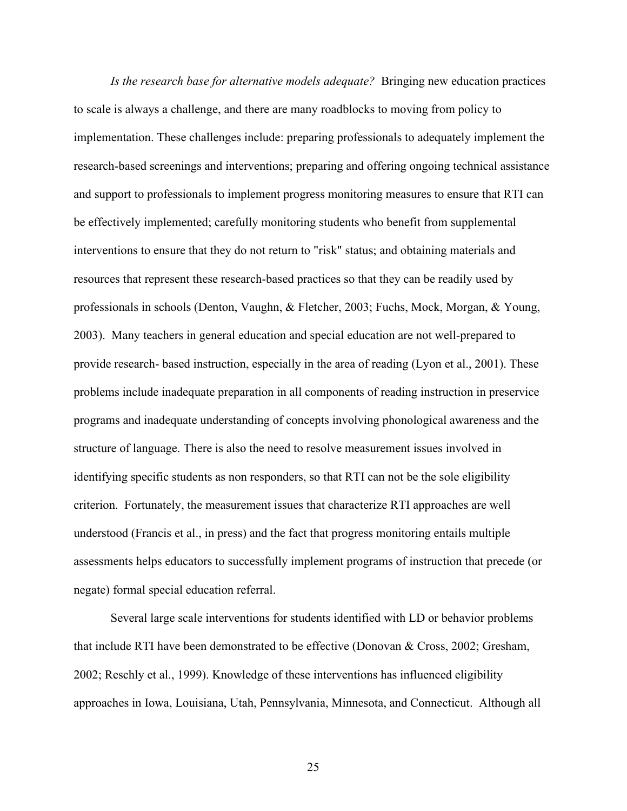*Is the research base for alternative models adequate?* Bringing new education practices to scale is always a challenge, and there are many roadblocks to moving from policy to implementation. These challenges include: preparing professionals to adequately implement the research-based screenings and interventions; preparing and offering ongoing technical assistance and support to professionals to implement progress monitoring measures to ensure that RTI can be effectively implemented; carefully monitoring students who benefit from supplemental interventions to ensure that they do not return to "risk" status; and obtaining materials and resources that represent these research-based practices so that they can be readily used by professionals in schools (Denton, Vaughn, & Fletcher, 2003; Fuchs, Mock, Morgan, & Young, 2003). Many teachers in general education and special education are not well-prepared to provide research- based instruction, especially in the area of reading (Lyon et al., 2001). These problems include inadequate preparation in all components of reading instruction in preservice programs and inadequate understanding of concepts involving phonological awareness and the structure of language. There is also the need to resolve measurement issues involved in identifying specific students as non responders, so that RTI can not be the sole eligibility criterion. Fortunately, the measurement issues that characterize RTI approaches are well understood (Francis et al., in press) and the fact that progress monitoring entails multiple assessments helps educators to successfully implement programs of instruction that precede (or negate) formal special education referral.

Several large scale interventions for students identified with LD or behavior problems that include RTI have been demonstrated to be effective (Donovan & Cross, 2002; Gresham, 2002; Reschly et al., 1999). Knowledge of these interventions has influenced eligibility approaches in Iowa, Louisiana, Utah, Pennsylvania, Minnesota, and Connecticut. Although all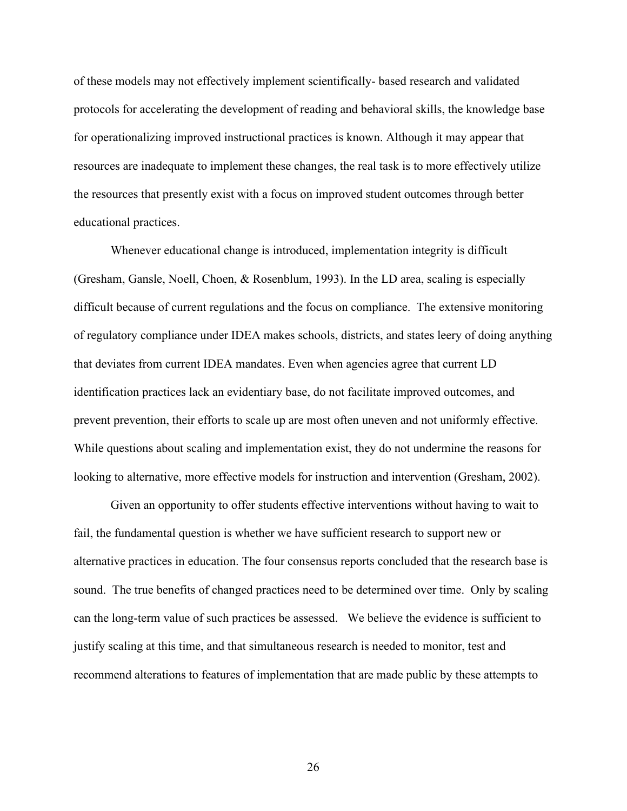of these models may not effectively implement scientifically- based research and validated protocols for accelerating the development of reading and behavioral skills, the knowledge base for operationalizing improved instructional practices is known. Although it may appear that resources are inadequate to implement these changes, the real task is to more effectively utilize the resources that presently exist with a focus on improved student outcomes through better educational practices.

Whenever educational change is introduced, implementation integrity is difficult (Gresham, Gansle, Noell, Choen, & Rosenblum, 1993). In the LD area, scaling is especially difficult because of current regulations and the focus on compliance. The extensive monitoring of regulatory compliance under IDEA makes schools, districts, and states leery of doing anything that deviates from current IDEA mandates. Even when agencies agree that current LD identification practices lack an evidentiary base, do not facilitate improved outcomes, and prevent prevention, their efforts to scale up are most often uneven and not uniformly effective. While questions about scaling and implementation exist, they do not undermine the reasons for looking to alternative, more effective models for instruction and intervention (Gresham, 2002).

Given an opportunity to offer students effective interventions without having to wait to fail, the fundamental question is whether we have sufficient research to support new or alternative practices in education. The four consensus reports concluded that the research base is sound. The true benefits of changed practices need to be determined over time. Only by scaling can the long-term value of such practices be assessed. We believe the evidence is sufficient to justify scaling at this time, and that simultaneous research is needed to monitor, test and recommend alterations to features of implementation that are made public by these attempts to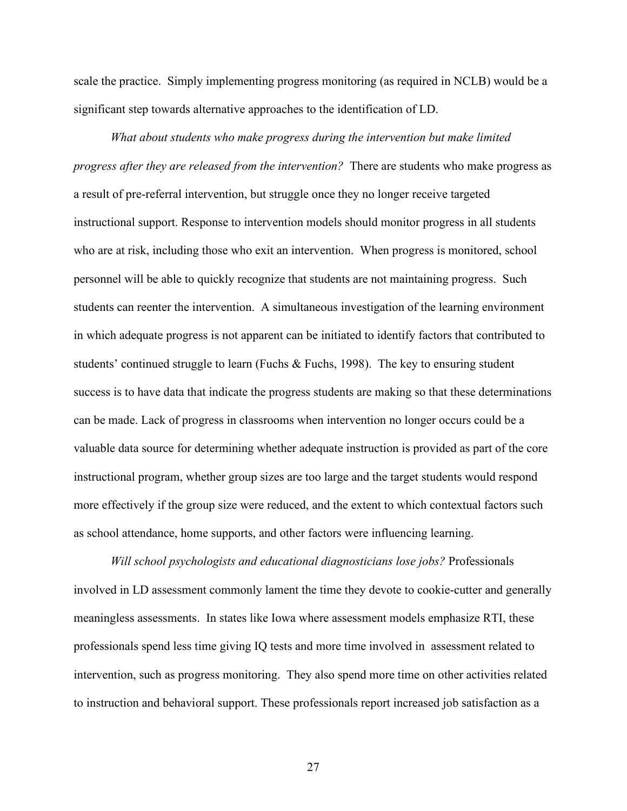scale the practice. Simply implementing progress monitoring (as required in NCLB) would be a significant step towards alternative approaches to the identification of LD.

*What about students who make progress during the intervention but make limited progress after they are released from the intervention?* There are students who make progress as a result of pre-referral intervention, but struggle once they no longer receive targeted instructional support. Response to intervention models should monitor progress in all students who are at risk, including those who exit an intervention. When progress is monitored, school personnel will be able to quickly recognize that students are not maintaining progress. Such students can reenter the intervention. A simultaneous investigation of the learning environment in which adequate progress is not apparent can be initiated to identify factors that contributed to students' continued struggle to learn (Fuchs & Fuchs, 1998). The key to ensuring student success is to have data that indicate the progress students are making so that these determinations can be made. Lack of progress in classrooms when intervention no longer occurs could be a valuable data source for determining whether adequate instruction is provided as part of the core instructional program, whether group sizes are too large and the target students would respond more effectively if the group size were reduced, and the extent to which contextual factors such as school attendance, home supports, and other factors were influencing learning.

*Will school psychologists and educational diagnosticians lose jobs?* Professionals involved in LD assessment commonly lament the time they devote to cookie-cutter and generally meaningless assessments. In states like Iowa where assessment models emphasize RTI, these professionals spend less time giving IQ tests and more time involved in assessment related to intervention, such as progress monitoring. They also spend more time on other activities related to instruction and behavioral support. These professionals report increased job satisfaction as a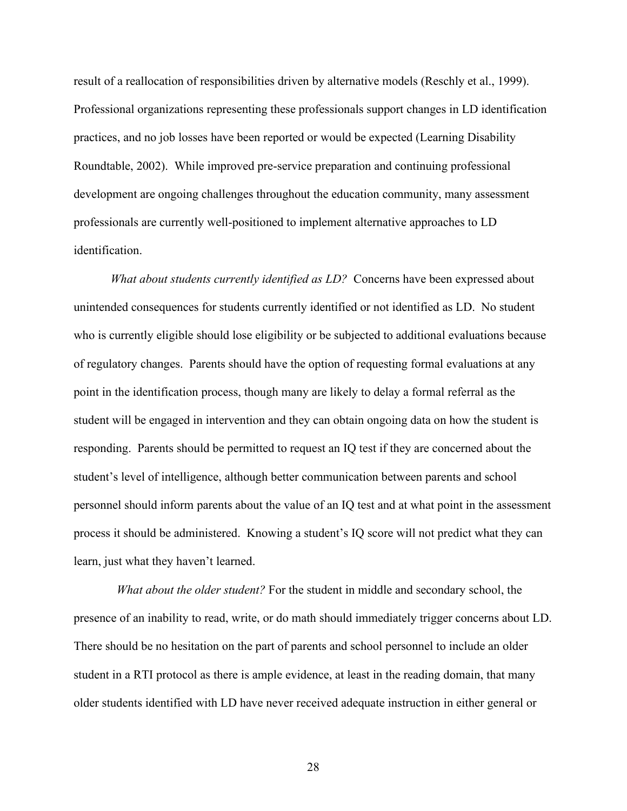result of a reallocation of responsibilities driven by alternative models (Reschly et al., 1999). Professional organizations representing these professionals support changes in LD identification practices, and no job losses have been reported or would be expected (Learning Disability Roundtable, 2002). While improved pre-service preparation and continuing professional development are ongoing challenges throughout the education community, many assessment professionals are currently well-positioned to implement alternative approaches to LD identification.

*What about students currently identified as LD?* Concerns have been expressed about unintended consequences for students currently identified or not identified as LD. No student who is currently eligible should lose eligibility or be subjected to additional evaluations because of regulatory changes. Parents should have the option of requesting formal evaluations at any point in the identification process, though many are likely to delay a formal referral as the student will be engaged in intervention and they can obtain ongoing data on how the student is responding. Parents should be permitted to request an IQ test if they are concerned about the student's level of intelligence, although better communication between parents and school personnel should inform parents about the value of an IQ test and at what point in the assessment process it should be administered. Knowing a student's IQ score will not predict what they can learn, just what they haven't learned.

 *What about the older student?* For the student in middle and secondary school, the presence of an inability to read, write, or do math should immediately trigger concerns about LD. There should be no hesitation on the part of parents and school personnel to include an older student in a RTI protocol as there is ample evidence, at least in the reading domain, that many older students identified with LD have never received adequate instruction in either general or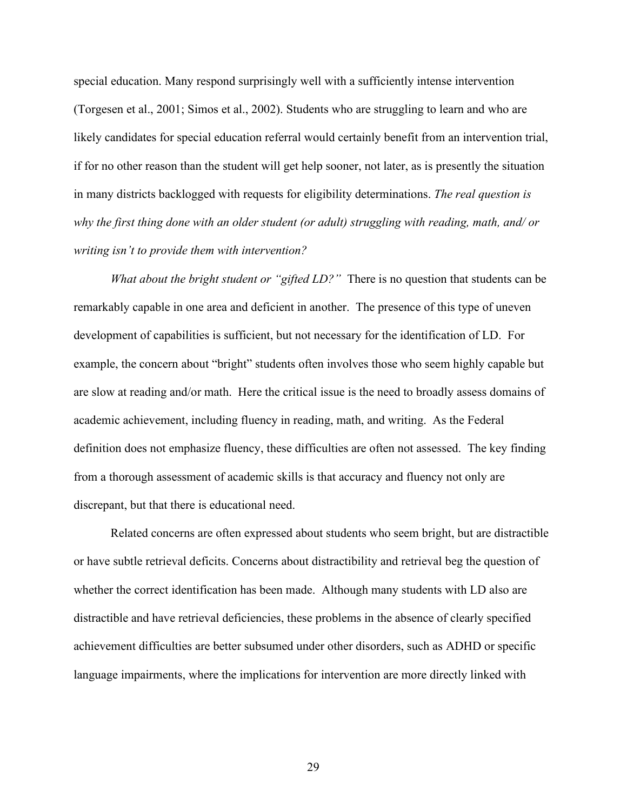special education. Many respond surprisingly well with a sufficiently intense intervention (Torgesen et al., 2001; Simos et al., 2002). Students who are struggling to learn and who are likely candidates for special education referral would certainly benefit from an intervention trial, if for no other reason than the student will get help sooner, not later, as is presently the situation in many districts backlogged with requests for eligibility determinations. *The real question is why the first thing done with an older student (or adult) struggling with reading, math, and/ or writing isn't to provide them with intervention?*

*What about the bright student or "gifted LD?"* There is no question that students can be remarkably capable in one area and deficient in another. The presence of this type of uneven development of capabilities is sufficient, but not necessary for the identification of LD. For example, the concern about "bright" students often involves those who seem highly capable but are slow at reading and/or math. Here the critical issue is the need to broadly assess domains of academic achievement, including fluency in reading, math, and writing. As the Federal definition does not emphasize fluency, these difficulties are often not assessed. The key finding from a thorough assessment of academic skills is that accuracy and fluency not only are discrepant, but that there is educational need.

Related concerns are often expressed about students who seem bright, but are distractible or have subtle retrieval deficits. Concerns about distractibility and retrieval beg the question of whether the correct identification has been made. Although many students with LD also are distractible and have retrieval deficiencies, these problems in the absence of clearly specified achievement difficulties are better subsumed under other disorders, such as ADHD or specific language impairments, where the implications for intervention are more directly linked with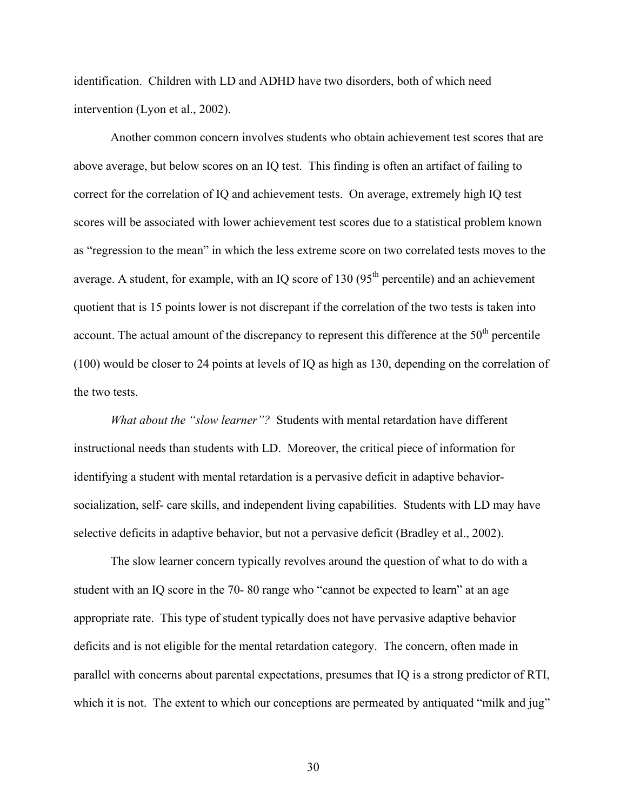identification. Children with LD and ADHD have two disorders, both of which need intervention (Lyon et al., 2002).

Another common concern involves students who obtain achievement test scores that are above average, but below scores on an IQ test. This finding is often an artifact of failing to correct for the correlation of IQ and achievement tests. On average, extremely high IQ test scores will be associated with lower achievement test scores due to a statistical problem known as "regression to the mean" in which the less extreme score on two correlated tests moves to the average. A student, for example, with an IQ score of 130  $(95<sup>th</sup>$  percentile) and an achievement quotient that is 15 points lower is not discrepant if the correlation of the two tests is taken into account. The actual amount of the discrepancy to represent this difference at the  $50<sup>th</sup>$  percentile (100) would be closer to 24 points at levels of IQ as high as 130, depending on the correlation of the two tests.

*What about the "slow learner"?* Students with mental retardation have different instructional needs than students with LD. Moreover, the critical piece of information for identifying a student with mental retardation is a pervasive deficit in adaptive behaviorsocialization, self- care skills, and independent living capabilities. Students with LD may have selective deficits in adaptive behavior, but not a pervasive deficit (Bradley et al., 2002).

The slow learner concern typically revolves around the question of what to do with a student with an IQ score in the 70- 80 range who "cannot be expected to learn" at an age appropriate rate. This type of student typically does not have pervasive adaptive behavior deficits and is not eligible for the mental retardation category. The concern, often made in parallel with concerns about parental expectations, presumes that IQ is a strong predictor of RTI, which it is not. The extent to which our conceptions are permeated by antiquated "milk and jug"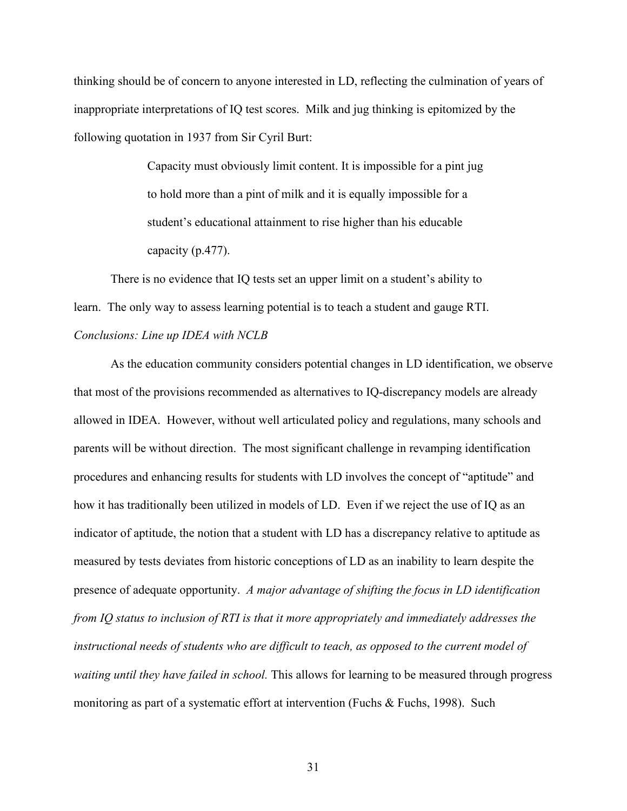thinking should be of concern to anyone interested in LD, reflecting the culmination of years of inappropriate interpretations of IQ test scores. Milk and jug thinking is epitomized by the following quotation in 1937 from Sir Cyril Burt:

> Capacity must obviously limit content. It is impossible for a pint jug to hold more than a pint of milk and it is equally impossible for a student's educational attainment to rise higher than his educable capacity (p.477).

There is no evidence that IQ tests set an upper limit on a student's ability to learn. The only way to assess learning potential is to teach a student and gauge RTI. *Conclusions: Line up IDEA with NCLB*

As the education community considers potential changes in LD identification, we observe that most of the provisions recommended as alternatives to IQ-discrepancy models are already allowed in IDEA. However, without well articulated policy and regulations, many schools and parents will be without direction. The most significant challenge in revamping identification procedures and enhancing results for students with LD involves the concept of "aptitude" and how it has traditionally been utilized in models of LD. Even if we reject the use of IQ as an indicator of aptitude, the notion that a student with LD has a discrepancy relative to aptitude as measured by tests deviates from historic conceptions of LD as an inability to learn despite the presence of adequate opportunity. *A major advantage of shifting the focus in LD identification from IQ status to inclusion of RTI is that it more appropriately and immediately addresses the instructional needs of students who are difficult to teach, as opposed to the current model of waiting until they have failed in school.* This allows for learning to be measured through progress monitoring as part of a systematic effort at intervention (Fuchs & Fuchs, 1998). Such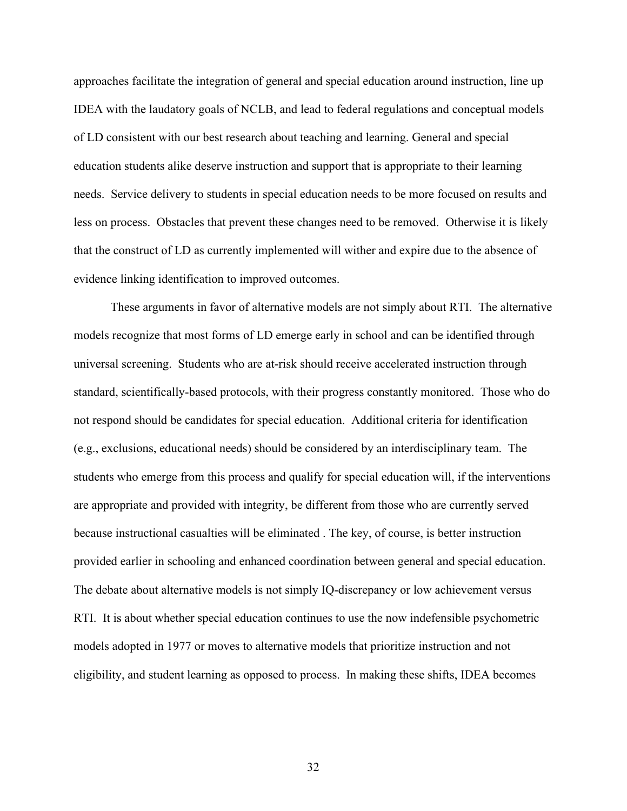approaches facilitate the integration of general and special education around instruction, line up IDEA with the laudatory goals of NCLB, and lead to federal regulations and conceptual models of LD consistent with our best research about teaching and learning. General and special education students alike deserve instruction and support that is appropriate to their learning needs. Service delivery to students in special education needs to be more focused on results and less on process. Obstacles that prevent these changes need to be removed. Otherwise it is likely that the construct of LD as currently implemented will wither and expire due to the absence of evidence linking identification to improved outcomes.

These arguments in favor of alternative models are not simply about RTI. The alternative models recognize that most forms of LD emerge early in school and can be identified through universal screening. Students who are at-risk should receive accelerated instruction through standard, scientifically-based protocols, with their progress constantly monitored. Those who do not respond should be candidates for special education. Additional criteria for identification (e.g., exclusions, educational needs) should be considered by an interdisciplinary team. The students who emerge from this process and qualify for special education will, if the interventions are appropriate and provided with integrity, be different from those who are currently served because instructional casualties will be eliminated . The key, of course, is better instruction provided earlier in schooling and enhanced coordination between general and special education. The debate about alternative models is not simply IQ-discrepancy or low achievement versus RTI. It is about whether special education continues to use the now indefensible psychometric models adopted in 1977 or moves to alternative models that prioritize instruction and not eligibility, and student learning as opposed to process. In making these shifts, IDEA becomes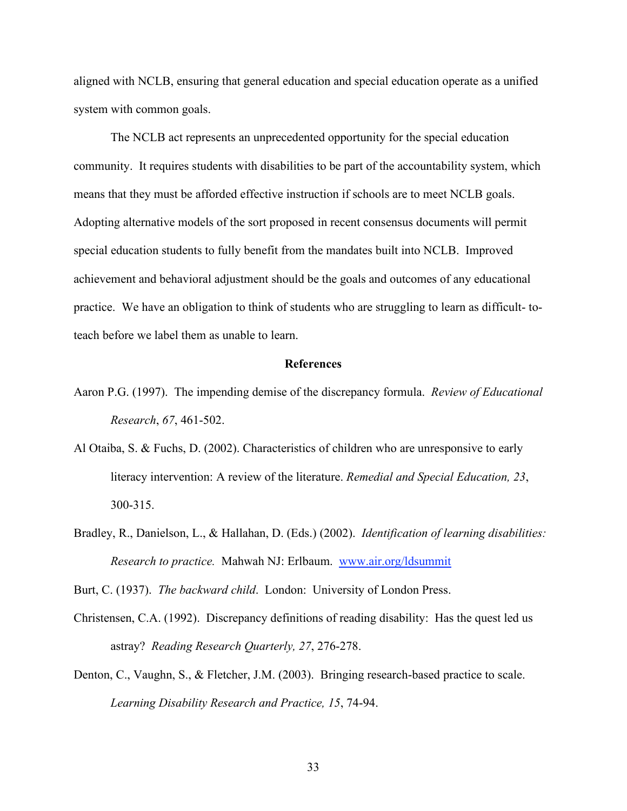aligned with NCLB, ensuring that general education and special education operate as a unified system with common goals.

The NCLB act represents an unprecedented opportunity for the special education community. It requires students with disabilities to be part of the accountability system, which means that they must be afforded effective instruction if schools are to meet NCLB goals. Adopting alternative models of the sort proposed in recent consensus documents will permit special education students to fully benefit from the mandates built into NCLB. Improved achievement and behavioral adjustment should be the goals and outcomes of any educational practice. We have an obligation to think of students who are struggling to learn as difficult- toteach before we label them as unable to learn.

### **References**

- Aaron P.G. (1997). The impending demise of the discrepancy formula. *Review of Educational Research*, *67*, 461-502.
- Al Otaiba, S. & Fuchs, D. (2002). Characteristics of children who are unresponsive to early literacy intervention: A review of the literature. *Remedial and Special Education, 23*, 300-315.
- Bradley, R., Danielson, L., & Hallahan, D. (Eds.) (2002). *Identification of learning disabilities: Research to practice.* Mahwah NJ: Erlbaum. www.air.org/ldsummit

Burt, C. (1937). *The backward child*. London: University of London Press.

- Christensen, C.A. (1992). Discrepancy definitions of reading disability: Has the quest led us astray? *Reading Research Quarterly, 27*, 276-278.
- Denton, C., Vaughn, S., & Fletcher, J.M. (2003). Bringing research-based practice to scale. *Learning Disability Research and Practice, 15*, 74-94.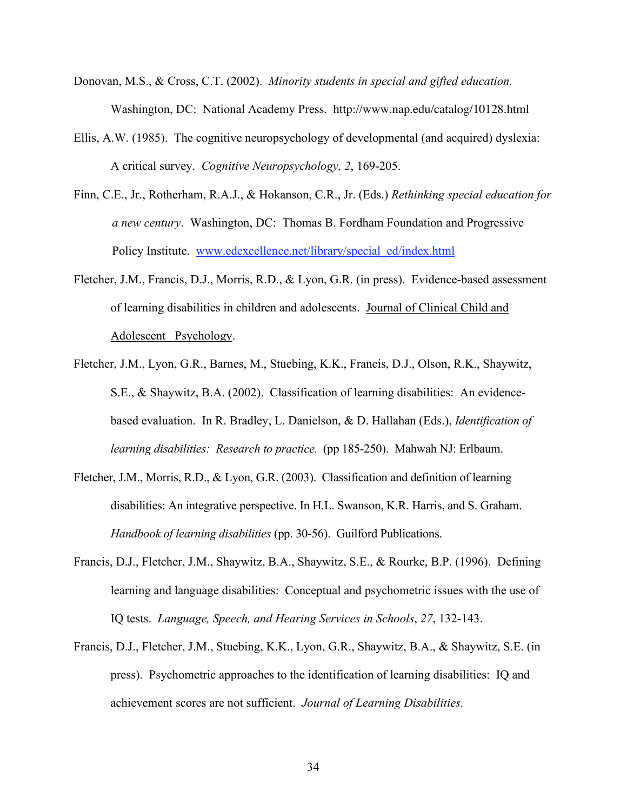- Donovan, M.S., & Cross, C.T. (2002). *Minority students in special and gifted education.*  Washington, DC: National Academy Press. http://www.nap.edu/catalog/10128.html
- Ellis, A.W. (1985). The cognitive neuropsychology of developmental (and acquired) dyslexia: A critical survey. *Cognitive Neuropsychology, 2*, 169-205.
- Finn, C.E., Jr., Rotherham, R.A.J., & Hokanson, C.R., Jr. (Eds.) *Rethinking special education for a new century*. Washington, DC: Thomas B. Fordham Foundation and Progressive Policy Institute. www.edexcellence.net/library/special\_ed/index.html
- Fletcher, J.M., Francis, D.J., Morris, R.D., & Lyon, G.R. (in press). Evidence-based assessment of learning disabilities in children and adolescents. Journal of Clinical Child and Adolescent Psychology.
- Fletcher, J.M., Lyon, G.R., Barnes, M., Stuebing, K.K., Francis, D.J., Olson, R.K., Shaywitz, S.E., & Shaywitz, B.A. (2002). Classification of learning disabilities: An evidencebased evaluation. In R. Bradley, L. Danielson, & D. Hallahan (Eds.), *Identification of learning disabilities: Research to practice.* (pp 185-250). Mahwah NJ: Erlbaum.
- Fletcher, J.M., Morris, R.D., & Lyon, G.R. (2003). Classification and definition of learning disabilities: An integrative perspective. In H.L. Swanson, K.R. Harris, and S. Graham. *Handbook of learning disabilities* (pp. 30-56). Guilford Publications.
- Francis, D.J., Fletcher, J.M., Shaywitz, B.A., Shaywitz, S.E., & Rourke, B.P. (1996). Defining learning and language disabilities: Conceptual and psychometric issues with the use of IQ tests. *Language, Speech, and Hearing Services in Schools*, *27*, 132-143.
- Francis, D.J., Fletcher, J.M., Stuebing, K.K., Lyon, G.R., Shaywitz, B.A., & Shaywitz, S.E. (in press). Psychometric approaches to the identification of learning disabilities: IQ and achievement scores are not sufficient. *Journal of Learning Disabilities.*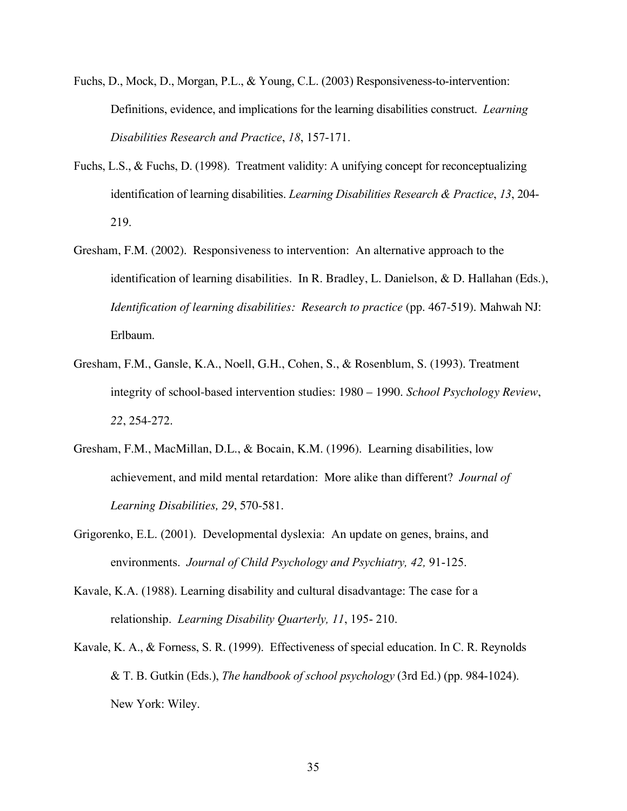- Fuchs, D., Mock, D., Morgan, P.L., & Young, C.L. (2003) Responsiveness-to-intervention: Definitions, evidence, and implications for the learning disabilities construct. *Learning Disabilities Research and Practice*, *18*, 157-171.
- Fuchs, L.S., & Fuchs, D. (1998). Treatment validity: A unifying concept for reconceptualizing identification of learning disabilities. *Learning Disabilities Research & Practice*, *13*, 204- 219.
- Gresham, F.M. (2002). Responsiveness to intervention: An alternative approach to the identification of learning disabilities. In R. Bradley, L. Danielson, & D. Hallahan (Eds.), *Identification of learning disabilities: Research to practice* (pp. 467-519)*.* Mahwah NJ: Erlbaum.
- Gresham, F.M., Gansle, K.A., Noell, G.H., Cohen, S., & Rosenblum, S. (1993). Treatment integrity of school-based intervention studies: 1980 – 1990. *School Psychology Review*, *22*, 254-272.
- Gresham, F.M., MacMillan, D.L., & Bocain, K.M. (1996). Learning disabilities, low achievement, and mild mental retardation: More alike than different? *Journal of Learning Disabilities, 29*, 570-581.
- Grigorenko, E.L. (2001). Developmental dyslexia: An update on genes, brains, and environments. *Journal of Child Psychology and Psychiatry, 42,* 91-125.
- Kavale, K.A. (1988). Learning disability and cultural disadvantage: The case for a relationship. *Learning Disability Quarterly, 11*, 195- 210.
- Kavale, K. A., & Forness, S. R. (1999). Effectiveness of special education. In C. R. Reynolds & T. B. Gutkin (Eds.), *The handbook of school psychology* (3rd Ed.) (pp. 984-1024). New York: Wiley.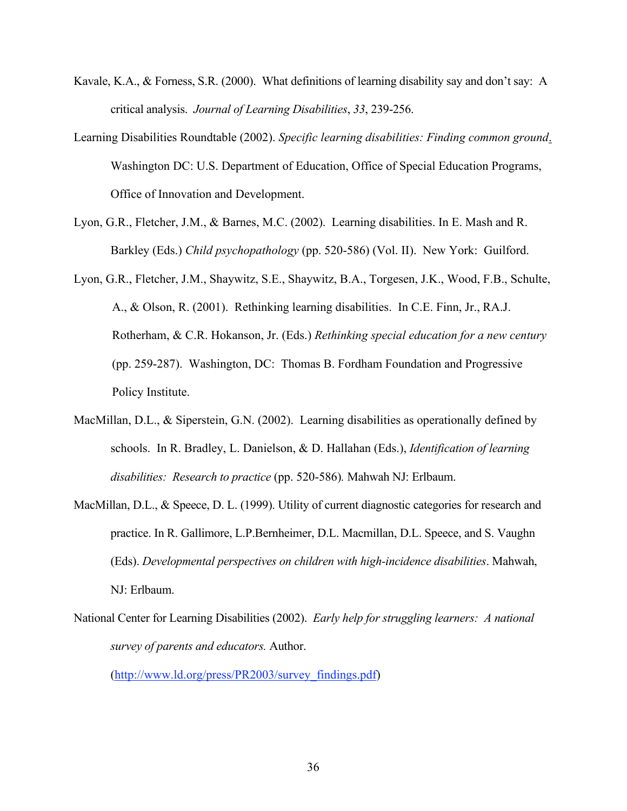- Kavale, K.A., & Forness, S.R. (2000). What definitions of learning disability say and don't say: A critical analysis. *Journal of Learning Disabilities*, *33*, 239-256.
- Learning Disabilities Roundtable (2002). *Specific learning disabilities: Finding common ground*. Washington DC: U.S. Department of Education, Office of Special Education Programs, Office of Innovation and Development.
- Lyon, G.R., Fletcher, J.M., & Barnes, M.C. (2002). Learning disabilities. In E. Mash and R. Barkley (Eds.) *Child psychopathology* (pp. 520-586) (Vol. II). New York: Guilford.
- Lyon, G.R., Fletcher, J.M., Shaywitz, S.E., Shaywitz, B.A., Torgesen, J.K., Wood, F.B., Schulte, A., & Olson, R. (2001). Rethinking learning disabilities. In C.E. Finn, Jr., RA.J. Rotherham, & C.R. Hokanson, Jr. (Eds.) *Rethinking special education for a new century* (pp. 259-287). Washington, DC: Thomas B. Fordham Foundation and Progressive Policy Institute.
- MacMillan, D.L., & Siperstein, G.N. (2002). Learning disabilities as operationally defined by schools. In R. Bradley, L. Danielson, & D. Hallahan (Eds.), *Identification of learning disabilities: Research to practice* (pp. 520-586)*.* Mahwah NJ: Erlbaum.
- MacMillan, D.L., & Speece, D. L. (1999). Utility of current diagnostic categories for research and practice. In R. Gallimore, L.P.Bernheimer, D.L. Macmillan, D.L. Speece, and S. Vaughn (Eds). *Developmental perspectives on children with high-incidence disabilities*. Mahwah, NJ: Erlbaum.
- National Center for Learning Disabilities (2002). *Early help for struggling learners: A national survey of parents and educators.* Author.

(http://www.ld.org/press/PR2003/survey\_findings.pdf)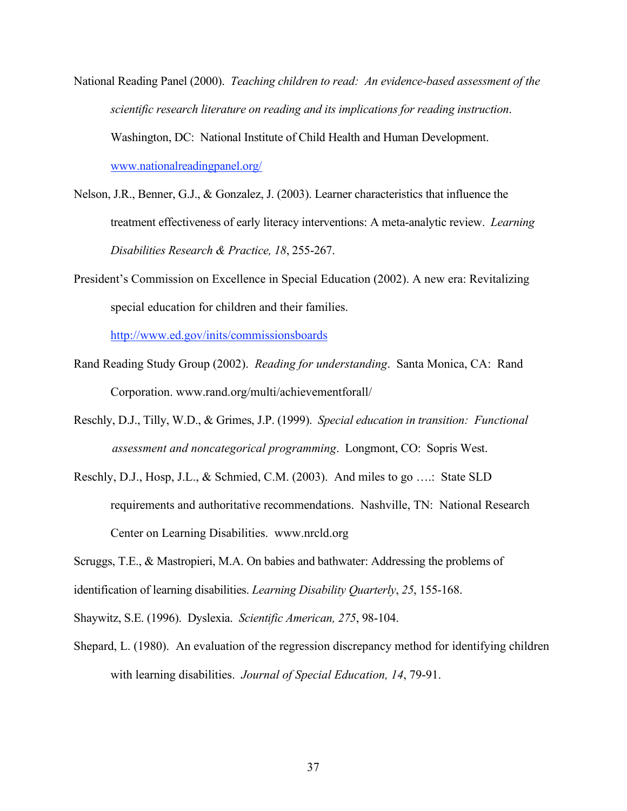- National Reading Panel (2000). *Teaching children to read: An evidence-based assessment of the scientific research literature on reading and its implications for reading instruction*. Washington, DC: National Institute of Child Health and Human Development. www.nationalreadingpanel.org/
- Nelson, J.R., Benner, G.J., & Gonzalez, J. (2003). Learner characteristics that influence the treatment effectiveness of early literacy interventions: A meta-analytic review. *Learning Disabilities Research & Practice, 18*, 255-267.
- President's Commission on Excellence in Special Education (2002). A new era: Revitalizing special education for children and their families.

http://www.ed.gov/inits/commissionsboards

- Rand Reading Study Group (2002). *Reading for understanding*. Santa Monica, CA: Rand Corporation. www.rand.org/multi/achievementforall/
- Reschly, D.J., Tilly, W.D., & Grimes, J.P. (1999). *Special education in transition: Functional assessment and noncategorical programming*. Longmont, CO: Sopris West.
- Reschly, D.J., Hosp, J.L., & Schmied, C.M. (2003). And miles to go ….: State SLD requirements and authoritative recommendations. Nashville, TN: National Research Center on Learning Disabilities. www.nrcld.org

Scruggs, T.E., & Mastropieri, M.A. On babies and bathwater: Addressing the problems of

identification of learning disabilities. *Learning Disability Quarterly*, *25*, 155-168.

Shaywitz, S.E. (1996). Dyslexia. *Scientific American, 275*, 98-104.

Shepard, L. (1980). An evaluation of the regression discrepancy method for identifying children with learning disabilities. *Journal of Special Education, 14*, 79-91.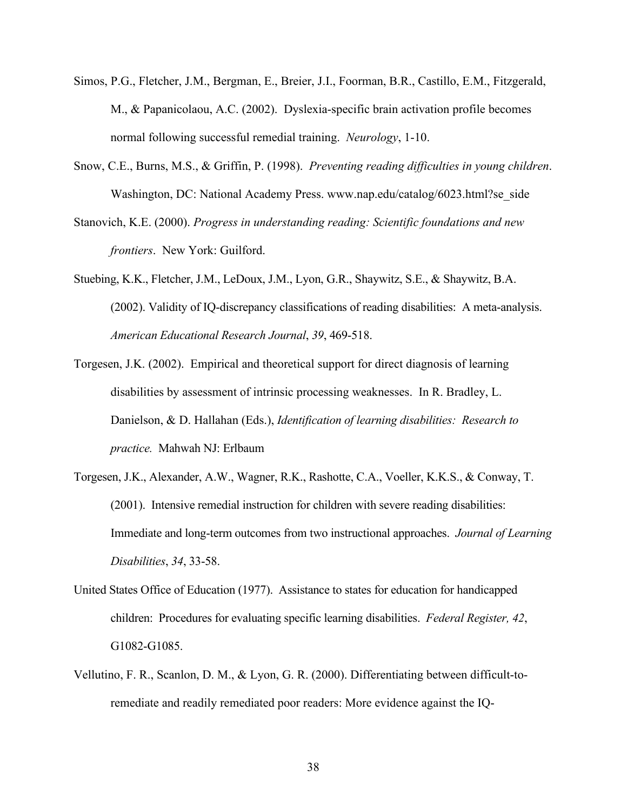- Simos, P.G., Fletcher, J.M., Bergman, E., Breier, J.I., Foorman, B.R., Castillo, E.M., Fitzgerald, M., & Papanicolaou, A.C. (2002). Dyslexia-specific brain activation profile becomes normal following successful remedial training. *Neurology*, 1-10.
- Snow, C.E., Burns, M.S., & Griffin, P. (1998). *Preventing reading difficulties in young children*. Washington, DC: National Academy Press. www.nap.edu/catalog/6023.html?se\_side
- Stanovich, K.E. (2000). *Progress in understanding reading: Scientific foundations and new frontiers*. New York: Guilford.
- Stuebing, K.K., Fletcher, J.M., LeDoux, J.M., Lyon, G.R., Shaywitz, S.E., & Shaywitz, B.A. (2002). Validity of IQ-discrepancy classifications of reading disabilities: A meta-analysis. *American Educational Research Journal*, *39*, 469-518.
- Torgesen, J.K. (2002). Empirical and theoretical support for direct diagnosis of learning disabilities by assessment of intrinsic processing weaknesses. In R. Bradley, L. Danielson, & D. Hallahan (Eds.), *Identification of learning disabilities: Research to practice.* Mahwah NJ: Erlbaum
- Torgesen, J.K., Alexander, A.W., Wagner, R.K., Rashotte, C.A., Voeller, K.K.S., & Conway, T. (2001). Intensive remedial instruction for children with severe reading disabilities: Immediate and long-term outcomes from two instructional approaches. *Journal of Learning Disabilities*, *34*, 33-58.
- United States Office of Education (1977). Assistance to states for education for handicapped children: Procedures for evaluating specific learning disabilities. *Federal Register, 42*, G1082-G1085.
- Vellutino, F. R., Scanlon, D. M., & Lyon, G. R. (2000). Differentiating between difficult-toremediate and readily remediated poor readers: More evidence against the IQ-